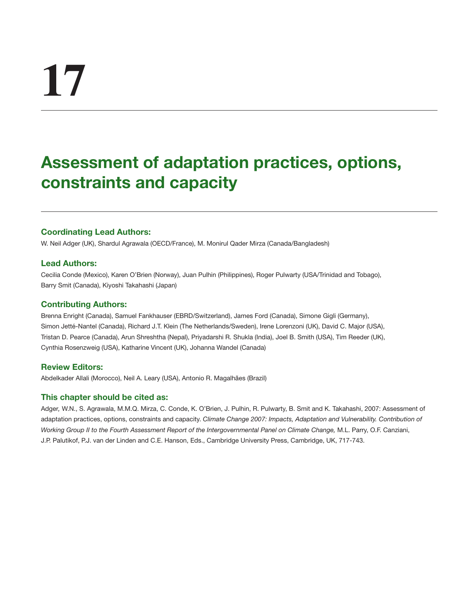# **17**

# **Assessment of adaptation practices, options, constraints and capacity**

# **Coordinating Lead Authors:**

W. Neil Adger (UK), Shardul Agrawala (OECD/France), M. Monirul Qader Mirza (Canada/Bangladesh)

# **Lead Authors:**

Cecilia Conde (Mexico), Karen O'Brien (Norway), Juan Pulhin (Philippines), Roger Pulwarty (USA/Trinidad and Tobago), Barry Smit (Canada), Kiyoshi Takahashi (Japan)

# **Contributing Authors:**

Brenna Enright (Canada), Samuel Fankhauser (EBRD/Switzerland), James Ford (Canada), Simone Gigli (Germany), Simon Jetté-Nantel (Canada), Richard J.T. Klein (The Netherlands/Sweden), Irene Lorenzoni (UK), David C. Major (USA), Tristan D. Pearce (Canada), Arun Shreshtha (Nepal), Priyadarshi R. Shukla (India), Joel B. Smith (USA), Tim Reeder (UK), Cynthia Rosenzweig (USA), Katharine Vincent (UK), Johanna Wandel (Canada)

# **Review Editors:**

Abdelkader Allali (Morocco), Neil A. Leary (USA), Antonio R. Magalhães (Brazil)

# **This chapter should be cited as:**

Adger*,* W.N., S. Agrawala, M.M.Q. Mirza, C. Conde, K. O'Brien, J. Pulhin, R. Pulwarty, B. Smit and K. Takahashi, 2007: Assessment of adaptation practices, options, constraints and capacity. *Climate Change 2007: Impacts, Adaptation and Vulnerability. Contribution of Working Group II to the Fourth Assessment Report of the Intergovernmental Panel on Climate Change,* M.L. Parry, O.F. Canziani, J.P. Palutikof, P.J. van der Linden and C.E. Hanson, Eds., Cambridge University Press, Cambridge, UK, 717-743.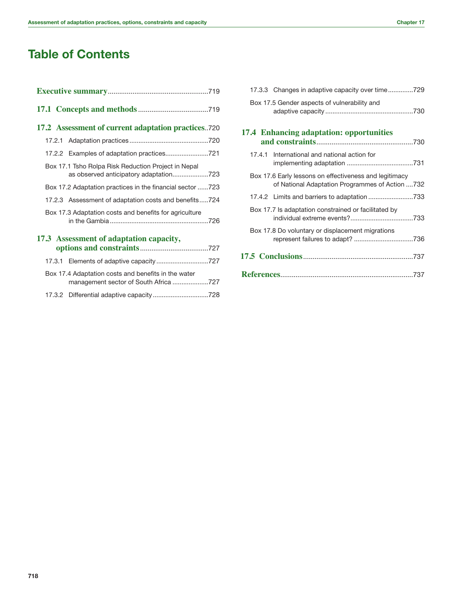# **Table of Contents**

| 17.2 Assessment of current adaptation practices720                                           |
|----------------------------------------------------------------------------------------------|
|                                                                                              |
|                                                                                              |
| Box 17.1 Tsho Rolpa Risk Reduction Project in Nepal                                          |
| Box 17.2 Adaptation practices in the financial sector 723                                    |
| 17.2.3 Assessment of adaptation costs and benefits724                                        |
| Box 17.3 Adaptation costs and benefits for agriculture                                       |
| 17.3 Assessment of adaptation capacity,                                                      |
|                                                                                              |
|                                                                                              |
| Box 17.4 Adaptation costs and benefits in the water<br>management sector of South Africa 727 |
| 17.3.2 Differential adaptive capacity728                                                     |

| Box 17.5 Gender aspects of vulnerability and                                                               |
|------------------------------------------------------------------------------------------------------------|
| 17.4 Enhancing adaptation: opportunities                                                                   |
| 17.4.1 International and national action for                                                               |
| Box 17.6 Early lessons on effectiveness and legitimacy<br>of National Adaptation Programmes of Action  732 |
|                                                                                                            |
| Box 17.7 Is adaptation constrained or facilitated by                                                       |

| Box 17.8 Do voluntary or displacement migrations |  |
|--------------------------------------------------|--|
|                                                  |  |
|                                                  |  |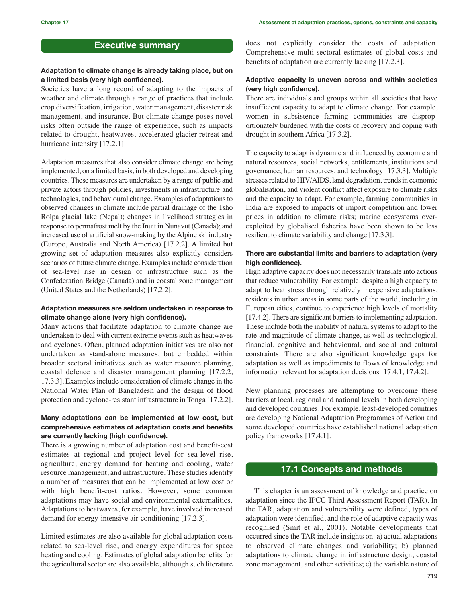# **Executive summary**

#### **Adaptation to climate change is already taking place, but on a limited basis (very high confidence).**

Societies have a long record of adapting to the impacts of weather and climate through a range of practices that include crop diversification, irrigation, water management, disaster risk management, and insurance. But climate change poses novel risks often outside the range of experience, such as impacts related to drought, heatwaves, accelerated glacier retreat and hurricane intensity [17.2.1].

Adaptation measures that also consider climate change are being implemented, on a limited basis, in both developed and developing countries. These measures are undertaken by a range of public and private actors through policies, investments in infrastructure and technologies, and behavioural change. Examples of adaptations to observed changes in climate include partial drainage of the Tsho Rolpa glacial lake (Nepal); changes in livelihood strategies in response to permafrost melt by the Inuit in Nunavut (Canada); and increased use of artificial snow-making by the Alpine ski industry (Europe, Australia and North America) [17.2.2]. A limited but growing set of adaptation measures also explicitly considers scenarios of future climate change. Examples include consideration of sea-level rise in design of infrastructure such as the Confederation Bridge (Canada) and in coastal zone management (United States and the Netherlands) [17.2.2].

#### **Adaptation measures are seldom undertaken in response to climate change alone (very high confidence).**

Many actions that facilitate adaptation to climate change are undertaken to deal with current extreme events such as heatwaves and cyclones. Often, planned adaptation initiatives are also not undertaken as stand-alone measures, but embedded within broader sectoral initiatives such as water resource planning, coastal defence and disaster management planning [17.2.2, 17.3.3]. Examples include consideration of climate change in the National Water Plan of Bangladesh and the design of flood protection and cyclone-resistant infrastructure in Tonga [17.2.2].

#### **Many adaptations can be implemented at low cost, but comprehensive estimates of adaptation costs and benefits are currently lacking (high confidence).**

There is a growing number of adaptation cost and benefit-cost estimates at regional and project level for sea-level rise, agriculture, energy demand for heating and cooling, water resource management, and infrastructure. These studies identify a number of measures that can be implemented at low cost or with high benefit-cost ratios. However, some common adaptations may have social and environmental externalities. Adaptations to heatwaves, for example, have involved increased demand for energy-intensive air-conditioning [17.2.3].

Limited estimates are also available for global adaptation costs related to sea-level rise, and energy expenditures for space heating and cooling. Estimates of global adaptation benefits for the agricultural sector are also available, although such literature does not explicitly consider the costs of adaptation. Comprehensive multi-sectoral estimates of global costs and benefits of adaptation are currently lacking [17.2.3].

#### **Adaptive capacity is uneven across and within societies (very high confidence).**

There are individuals and groups within all societies that have insufficient capacity to adapt to climate change. For example, women in subsistence farming communities are disproportionately burdened with the costs of recovery and coping with drought in southern Africa [17.3.2].

The capacity to adapt is dynamic and influenced by economic and natural resources, social networks, entitlements, institutions and governance, human resources, and technology [17.3.3]. Multiple stresses related to HIV/AIDS, land degradation, trends in economic globalisation, and violent conflict affect exposure to climate risks and the capacity to adapt. For example, farming communities in India are exposed to impacts of import competition and lower prices in addition to climate risks; marine ecosystems overexploited by globalised fisheries have been shown to be less resilient to climate variability and change [17.3.3].

#### **There are substantial limits and barriers to adaptation (very high confidence).**

High adaptive capacity does not necessarily translate into actions that reduce vulnerability. For example, despite a high capacity to adapt to heat stress through relatively inexpensive adaptations, residents in urban areas in some parts of the world, including in European cities, continue to experience high levels of mortality [17.4.2]. There are significant barriers to implementing adaptation. These include both the inability of natural systems to adapt to the rate and magnitude of climate change, as well as technological, financial, cognitive and behavioural, and social and cultural constraints. There are also significant knowledge gaps for adaptation as well as impediments to flows of knowledge and information relevant for adaptation decisions [17.4.1, 17.4.2].

New planning processes are attempting to overcome these barriers at local, regional and national levels in both developing and developed countries. For example, least-developed countries are developing National Adaptation Programmes of Action and some developed countries have established national adaptation policy frameworks [17.4.1].

## **17.1 Concepts and methods**

This chapter is an assessment of knowledge and practice on adaptation since the IPCC Third Assessment Report (TAR). In the TAR, adaptation and vulnerability were defined, types of adaptation were identified, and the role of adaptive capacity was recognised (Smit et al., 2001). Notable developments that occurred since the TAR include insights on: a) actual adaptations to observed climate changes and variability; b) planned adaptations to climate change in infrastructure design, coastal zone management, and other activities; c) the variable nature of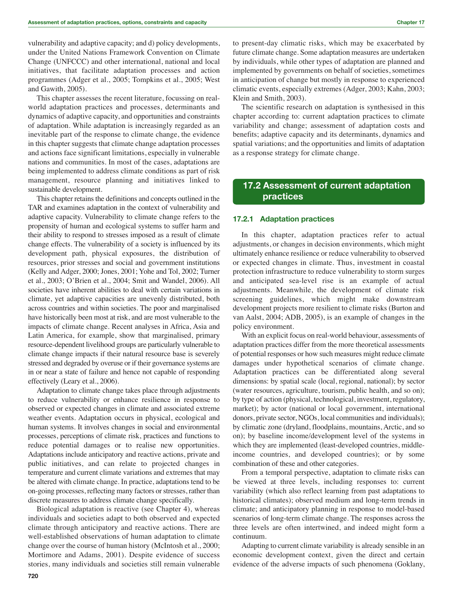vulnerability and adaptive capacity; and d) policy developments, under the United Nations Framework Convention on Climate Change (UNFCCC) and other international, national and local initiatives, that facilitate adaptation processes and action programmes (Adger et al., 2005; Tompkins et al., 2005; West and Gawith, 2005).

This chapter assesses the recent literature, focussing on realworld adaptation practices and processes, determinants and dynamics of adaptive capacity, and opportunities and constraints of adaptation. While adaptation is increasingly regarded as an inevitable part of the response to climate change, the evidence in this chapter suggests that climate change adaptation processes and actions face significant limitations, especially in vulnerable nations and communities. In most of the cases, adaptations are being implemented to address climate conditions as part of risk management, resource planning and initiatives linked to sustainable development.

This chapter retains the definitions and concepts outlined in the TAR and examines adaptation in the context of vulnerability and adaptive capacity. Vulnerability to climate change refers to the propensity of human and ecological systems to suffer harm and their ability to respond to stresses imposed as a result of climate change effects. The vulnerability of a society is influenced by its development path, physical exposures, the distribution of resources, prior stresses and social and government institutions (Kelly and Adger, 2000; Jones, 2001; Yohe and Tol, 2002; Turner et al., 2003; O'Brien et al., 2004; Smit and Wandel, 2006). All societies have inherent abilities to deal with certain variations in climate, yet adaptive capacities are unevenly distributed, both across countries and within societies. The poor and marginalised have historically been most at risk, and are most vulnerable to the impacts of climate change. Recent analyses in Africa, Asia and Latin America, for example, show that marginalised, primary resource-dependent livelihood groups are particularly vulnerable to climate change impacts if their natural resource base is severely stressed and degraded by overuse or if their governance systems are in or near a state of failure and hence not capable of responding effectively (Leary et al., 2006).

Adaptation to climate change takes place through adjustments to reduce vulnerability or enhance resilience in response to observed or expected changes in climate and associated extreme weather events. Adaptation occurs in physical, ecological and human systems. It involves changes in social and environmental processes, perceptions of climate risk, practices and functions to reduce potential damages or to realise new opportunities. Adaptations include anticipatory and reactive actions, private and public initiatives, and can relate to projected changes in temperature and current climate variations and extremes that may be altered with climate change. In practice, adaptations tend to be on-going processes, reflecting many factors or stresses, rather than discrete measures to address climate change specifically.

Biological adaptation is reactive (see Chapter 4), whereas individuals and societies adapt to both observed and expected climate through anticipatory and reactive actions. There are well-established observations of human adaptation to climate change over the course of human history (McIntosh et al., 2000; Mortimore and Adams, 2001). Despite evidence of success stories, many individuals and societies still remain vulnerable to present-day climatic risks, which may be exacerbated by future climate change. Some adaptation measures are undertaken by individuals, while other types of adaptation are planned and implemented by governments on behalf of societies, sometimes in anticipation of change but mostly in response to experienced climatic events, especially extremes (Adger, 2003; Kahn, 2003; Klein and Smith, 2003).

The scientific research on adaptation is synthesised in this chapter according to: current adaptation practices to climate variability and change; assessment of adaptation costs and benefits; adaptive capacity and its determinants, dynamics and spatial variations; and the opportunities and limits of adaptation as a response strategy for climate change.

# **17.2 Assessment of current adaptation practices**

#### **17.2.1 Adaptation practices**

In this chapter, adaptation practices refer to actual adjustments, or changes in decision environments, which might ultimately enhance resilience or reduce vulnerability to observed or expected changes in climate. Thus, investment in coastal protection infrastructure to reduce vulnerability to storm surges and anticipated sea-level rise is an example of actual adjustments. Meanwhile, the development of climate risk screening guidelines, which might make downstream development projects more resilient to climate risks (Burton and van Aalst, 2004; ADB, 2005), is an example of changes in the policy environment.

With an explicit focus on real-world behaviour, assessments of adaptation practices differ from the more theoretical assessments of potential responses or how such measures might reduce climate damages under hypothetical scenarios of climate change. Adaptation practices can be differentiated along several dimensions: by spatial scale (local, regional, national); by sector (water resources, agriculture, tourism, public health, and so on); by type of action (physical, technological, investment, regulatory, market); by actor (national or local government, international donors, private sector, NGOs, local communities and individuals); by climatic zone (dryland, floodplains, mountains, Arctic, and so on); by baseline income/development level of the systems in which they are implemented (least-developed countries, middleincome countries, and developed countries); or by some combination of these and other categories.

From a temporal perspective, adaptation to climate risks can be viewed at three levels, including responses to: current variability (which also reflect learning from past adaptations to historical climates); observed medium and long-term trends in climate; and anticipatory planning in response to model-based scenarios of long-term climate change. The responses across the three levels are often intertwined, and indeed might form a continuum.

Adapting to current climate variability is already sensible in an economic development context, given the direct and certain evidence of the adverse impacts of such phenomena (Goklany,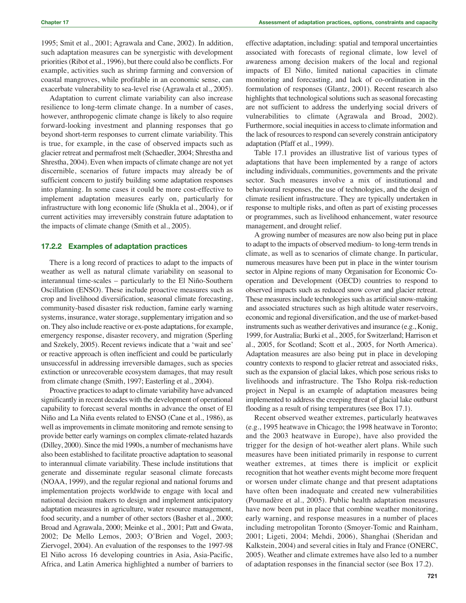1995; Smit et al., 2001; Agrawala and Cane, 2002). In addition, such adaptation measures can be synergistic with development priorities (Ribot et al., 1996), but there could also be conflicts. For example, activities such as shrimp farming and conversion of coastal mangroves, while profitable in an economic sense, can exacerbate vulnerability to sea-level rise (Agrawala et al., 2005).

Adaptation to current climate variability can also increase resilience to long-term climate change. In a number of cases, however, anthropogenic climate change is likely to also require forward-looking investment and planning responses that go beyond short-term responses to current climate variability. This is true, for example, in the case of observed impacts such as glacier retreat and permafrost melt (Schaedler, 2004; Shrestha and Shrestha, 2004). Even when impacts of climate change are not yet discernible, scenarios of future impacts may already be of sufficient concern to justify building some adaptation responses into planning. In some cases it could be more cost-effective to implement adaptation measures early on, particularly for infrastructure with long economic life (Shukla et al., 2004), or if current activities may irreversibly constrain future adaptation to the impacts of climate change (Smith et al., 2005).

#### **17.2.2 Examples of adaptation practices**

There is a long record of practices to adapt to the impacts of weather as well as natural climate variability on seasonal to interannual time-scales – particularly to the El Niño-Southern Oscillation (ENSO). These include proactive measures such as crop and livelihood diversification, seasonal climate forecasting, community-based disaster risk reduction, famine early warning systems, insurance, water storage, supplementary irrigation and so on. They also include reactive or ex-poste adaptations, for example, emergency response, disaster recovery, and migration (Sperling and Szekely, 2005). Recent reviews indicate that a 'wait and see' or reactive approach is often inefficient and could be particularly unsuccessful in addressing irreversible damages, such as species extinction or unrecoverable ecosystem damages, that may result from climate change (Smith, 1997; Easterling et al., 2004).

Proactive practices to adapt to climate variability have advanced significantly in recent decades with the development of operational capability to forecast several months in advance the onset of El Niño and La Niña events related to ENSO (Cane et al., 1986), as well as improvements in climate monitoring and remote sensing to provide better early warnings on complex climate-related hazards (Dilley, 2000). Since the mid 1990s, a number of mechanisms have also been established to facilitate proactive adaptation to seasonal to interannual climate variability. These include institutions that generate and disseminate regular seasonal climate forecasts (NOAA, 1999), and the regular regional and national forums and implementation projects worldwide to engage with local and national decision makers to design and implement anticipatory adaptation measures in agriculture, water resource management, food security, and a number of other sectors (Basher et al., 2000; Broad and Agrawala, 2000; Meinke et al., 2001; Patt and Gwata, 2002; De Mello Lemos, 2003; O'Brien and Vogel, 2003; Ziervogel, 2004). An evaluation of the responses to the 1997-98 El Niño across 16 developing countries in Asia, Asia-Pacific, Africa, and Latin America highlighted a number of barriers to effective adaptation, including: spatial and temporal uncertainties associated with forecasts of regional climate, low level of awareness among decision makers of the local and regional impacts of El Niño, limited national capacities in climate monitoring and forecasting, and lack of co-ordination in the formulation of responses (Glantz, 2001). Recent research also highlights that technological solutions such as seasonal forecasting are not sufficient to address the underlying social drivers of vulnerabilities to climate (Agrawala and Broad, 2002). Furthermore, social inequities in access to climate information and the lack of resources to respond can severely constrain anticipatory adaptation (Pfaff et al., 1999).

Table 17.1 provides an illustrative list of various types of adaptations that have been implemented by a range of actors including individuals, communities, governments and the private sector. Such measures involve a mix of institutional and behavioural responses, the use of technologies, and the design of climate resilient infrastructure. They are typically undertaken in response to multiple risks, and often as part of existing processes or programmes, such as livelihood enhancement, water resource management, and drought relief.

A growing number of measures are now also being put in place to adapt to the impacts of observed medium- to long-term trends in climate, as well as to scenarios of climate change. In particular, numerous measures have been put in place in the winter tourism sector in Alpine regions of many Organisation for Economic Cooperation and Development (OECD) countries to respond to observed impacts such as reduced snow cover and glacier retreat. These measures include technologies such as artificial snow-making and associated structures such as high altitude water reservoirs, economic and regional diversification, and the use of market-based instruments such as weather derivatives and insurance (e.g., Konig, 1999, for Australia; Burki et al., 2005, for Switzerland; Harrison et al., 2005, for Scotland; Scott et al., 2005, for North America). Adaptation measures are also being put in place in developing country contexts to respond to glacier retreat and associated risks, such as the expansion of glacial lakes, which pose serious risks to livelihoods and infrastructure. The Tsho Rolpa risk-reduction project in Nepal is an example of adaptation measures being implemented to address the creeping threat of glacial lake outburst flooding as a result of rising temperatures (see Box 17.1).

Recent observed weather extremes, particularly heatwaves (e.g., 1995 heatwave in Chicago; the 1998 heatwave in Toronto; and the 2003 heatwave in Europe), have also provided the trigger for the design of hot-weather alert plans. While such measures have been initiated primarily in response to current weather extremes, at times there is implicit or explicit recognition that hot weather events might become more frequent or worsen under climate change and that present adaptations have often been inadequate and created new vulnerabilities (Poumadère et al., 2005). Public health adaptation measures have now been put in place that combine weather monitoring, early warning, and response measures in a number of places including metropolitan Toronto (Smoyer-Tomic and Rainham, 2001; Ligeti, 2004; Mehdi, 2006), Shanghai (Sheridan and Kalkstein, 2004) and several cities in Italy and France (ONERC, 2005). Weather and climate extremes have also led to a number of adaptation responses in the financial sector (see Box 17.2).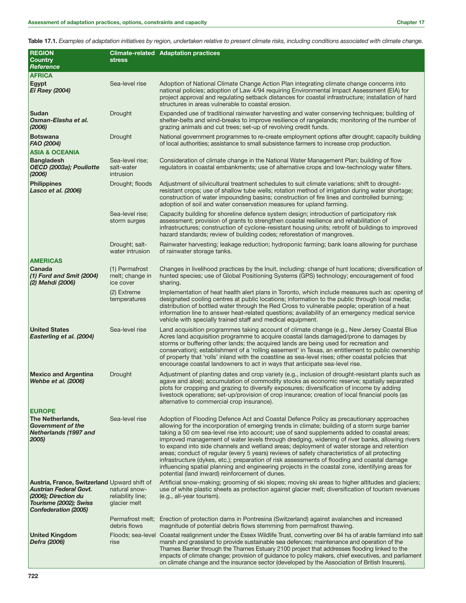**Table 17.1.** *Examples of adaptation initiatives by region, undertaken relative to present climate risks, including conditions associated with climate change.*

| <b>REGION</b><br><b>Country</b><br>Reference                                                                                                                   | <b>stress</b>                                      | <b>Climate-related Adaptation practices</b>                                                                                                                                                                                                                                                                                                                                                                                                                                                                                                                                                                                                                                                                                                                                                                                                      |  |  |  |
|----------------------------------------------------------------------------------------------------------------------------------------------------------------|----------------------------------------------------|--------------------------------------------------------------------------------------------------------------------------------------------------------------------------------------------------------------------------------------------------------------------------------------------------------------------------------------------------------------------------------------------------------------------------------------------------------------------------------------------------------------------------------------------------------------------------------------------------------------------------------------------------------------------------------------------------------------------------------------------------------------------------------------------------------------------------------------------------|--|--|--|
| <b>AFRICA</b>                                                                                                                                                  |                                                    |                                                                                                                                                                                                                                                                                                                                                                                                                                                                                                                                                                                                                                                                                                                                                                                                                                                  |  |  |  |
| Egypt<br>El Raey (2004)                                                                                                                                        | Sea-level rise                                     | Adoption of National Climate Change Action Plan integrating climate change concerns into<br>national policies; adoption of Law 4/94 requiring Environmental Impact Assessment (EIA) for<br>project approval and requlating setback distances for coastal infrastructure; installation of hard<br>structures in areas vulnerable to coastal erosion.                                                                                                                                                                                                                                                                                                                                                                                                                                                                                              |  |  |  |
| Sudan<br>Drought<br>Osman-Elasha et al.<br>(2006)                                                                                                              |                                                    | Expanded use of traditional rainwater harvesting and water conserving techniques; building of<br>shelter-belts and wind-breaks to improve resilience of rangelands; monitoring of the number of<br>grazing animals and cut trees; set-up of revolving credit funds.                                                                                                                                                                                                                                                                                                                                                                                                                                                                                                                                                                              |  |  |  |
| <b>Botswana</b><br>FAO (2004)                                                                                                                                  | <b>Drought</b>                                     | National government programmes to re-create employment options after drought; capacity building<br>of local authorities; assistance to small subsistence farmers to increase crop production.                                                                                                                                                                                                                                                                                                                                                                                                                                                                                                                                                                                                                                                    |  |  |  |
| <b>ASIA &amp; OCEANIA</b><br><b>Bangladesh</b><br>OECD (2003a); Pouliotte<br>(2006)                                                                            | Sea-level rise;<br>salt-water<br>intrusion         | Consideration of climate change in the National Water Management Plan; building of flow<br>regulators in coastal embankments; use of alternative crops and low-technology water filters.                                                                                                                                                                                                                                                                                                                                                                                                                                                                                                                                                                                                                                                         |  |  |  |
| <b>Philippines</b><br>Lasco et al. (2006)                                                                                                                      | Drought; floods                                    | Adjustment of silvicultural treatment schedules to suit climate variations; shift to drought-<br>resistant crops; use of shallow tube wells; rotation method of irrigation during water shortage;<br>construction of water impounding basins; construction of fire lines and controlled burning;<br>adoption of soil and water conservation measures for upland farming.                                                                                                                                                                                                                                                                                                                                                                                                                                                                         |  |  |  |
|                                                                                                                                                                | Sea-level rise;<br>storm surges                    | Capacity building for shoreline defence system design; introduction of participatory risk<br>assessment; provision of grants to strengthen coastal resilience and rehabilitation of<br>infrastructures; construction of cyclone-resistant housing units; retrofit of buildings to improved<br>hazard standards; review of building codes; reforestation of mangroves.                                                                                                                                                                                                                                                                                                                                                                                                                                                                            |  |  |  |
|                                                                                                                                                                | Drought; salt-<br>water intrusion                  | Rainwater harvesting; leakage reduction; hydroponic farming; bank loans allowing for purchase<br>of rainwater storage tanks.                                                                                                                                                                                                                                                                                                                                                                                                                                                                                                                                                                                                                                                                                                                     |  |  |  |
| <b>AMERICAS</b>                                                                                                                                                |                                                    |                                                                                                                                                                                                                                                                                                                                                                                                                                                                                                                                                                                                                                                                                                                                                                                                                                                  |  |  |  |
| Canada<br>$(1)$ Ford and Smit (2004)<br>(2) Mehdi (2006)                                                                                                       | (1) Permafrost<br>melt; change in<br>ice cover     | Changes in livelihood practices by the Inuit, including: change of hunt locations; diversification of<br>hunted species; use of Global Positioning Systems (GPS) technology; encouragement of food<br>sharing.                                                                                                                                                                                                                                                                                                                                                                                                                                                                                                                                                                                                                                   |  |  |  |
|                                                                                                                                                                | (2) Extreme<br>temperatures                        | Implementation of heat health alert plans in Toronto, which include measures such as: opening of<br>designated cooling centres at public locations; information to the public through local media;<br>distribution of bottled water through the Red Cross to vulnerable people; operation of a heat<br>information line to answer heat-related questions; availability of an emergency medical service<br>vehicle with specially trained staff and medical equipment.                                                                                                                                                                                                                                                                                                                                                                            |  |  |  |
| <b>United States</b><br>Easterling et al. (2004)                                                                                                               | Sea-level rise                                     | Land acquisition programmes taking account of climate change (e.g., New Jersey Coastal Blue<br>Acres land acquisition programme to acquire coastal lands damaged/prone to damages by<br>storms or buffering other lands; the acquired lands are being used for recreation and<br>conservation); establishment of a 'rolling easement' in Texas, an entitlement to public ownership<br>of property that 'rolls' inland with the coastline as sea-level rises; other coastal policies that<br>encourage coastal landowners to act in ways that anticipate sea-level rise.                                                                                                                                                                                                                                                                          |  |  |  |
| <b>Mexico and Argentina</b><br>Wehbe et al. (2006)                                                                                                             | Drought                                            | Adjustment of planting dates and crop variety (e.g., inclusion of drought-resistant plants such as<br>agave and aloe); accumulation of commodity stocks as economic reserve; spatially separated<br>plots for cropping and grazing to diversify exposures; diversification of income by adding<br>livestock operations; set-up/provision of crop insurance; creation of local financial pools (as<br>alternative to commercial crop insurance).                                                                                                                                                                                                                                                                                                                                                                                                  |  |  |  |
| <b>EUROPE</b>                                                                                                                                                  |                                                    |                                                                                                                                                                                                                                                                                                                                                                                                                                                                                                                                                                                                                                                                                                                                                                                                                                                  |  |  |  |
| The Netherlands,<br><b>Government of the</b><br>Netherlands (1997 and<br>2005)                                                                                 | Sea-level rise                                     | Adoption of Flooding Defence Act and Coastal Defence Policy as precautionary approaches<br>allowing for the incorporation of emerging trends in climate; building of a storm surge barrier<br>taking a 50 cm sea-level rise into account; use of sand supplements added to coastal areas;<br>improved management of water levels through dredging, widening of river banks, allowing rivers<br>to expand into side channels and wetland areas; deployment of water storage and retention<br>areas; conduct of regular (every 5 years) reviews of safety characteristics of all protecting<br>infrastructure (dykes, etc.); preparation of risk assessments of flooding and coastal damage<br>influencing spatial planning and engineering projects in the coastal zone, identifying areas for<br>potential (land inward) reinforcement of dunes. |  |  |  |
| Austria, France, Switzerland Upward shift of<br><b>Austrian Federal Govt.</b><br>(2006); Direction du<br>Tourisme (2002); Swiss<br><b>Confederation (2005)</b> | natural snow-<br>reliability line;<br>glacier melt | Artificial snow-making; grooming of ski slopes; moving ski areas to higher altitudes and glaciers;<br>use of white plastic sheets as protection against glacier melt; diversification of tourism revenues<br>(e.g., all-year tourism).                                                                                                                                                                                                                                                                                                                                                                                                                                                                                                                                                                                                           |  |  |  |
|                                                                                                                                                                | Permafrost melt;<br>debris flows                   | Erection of protection dams in Pontresina (Switzerland) against avalanches and increased<br>magnitude of potential debris flows stemming from permafrost thawing.                                                                                                                                                                                                                                                                                                                                                                                                                                                                                                                                                                                                                                                                                |  |  |  |
| <b>United Kingdom</b><br>Defra (2006)                                                                                                                          | rise                                               | Floods; sea-level Coastal realignment under the Essex Wildlife Trust, converting over 84 ha of arable farmland into salt<br>marsh and grassland to provide sustainable sea defences; maintenance and operation of the<br>Thames Barrier through the Thames Estuary 2100 project that addresses flooding linked to the<br>impacts of climate change; provision of guidance to policy makers, chief executives, and parliament<br>on climate change and the insurance sector (developed by the Association of British Insurers).                                                                                                                                                                                                                                                                                                                   |  |  |  |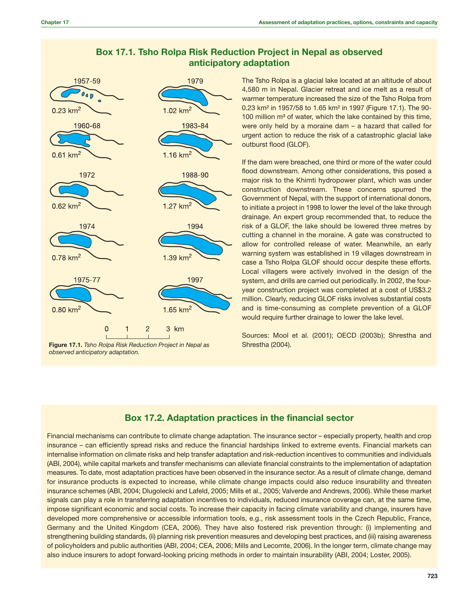# **Box 17.1. Tsho Rolpa Risk Reduction Project in Nepal as observed anticipatory adaptation**



The Tsho Rolpa is a glacial lake located at an altitude of about 4,580 m in Nepal. Glacier retreat and ice melt as a result of warmer temperature increased the size of the Tsho Rolpa from 0.23 km² in 1957/58 to 1.65 km² in 1997 (Figure 17.1). The 90- 100 million m<sup>3</sup> of water, which the lake contained by this time, were only held by a moraine dam – a hazard that called for urgent action to reduce the risk of a catastrophic glacial lake outburst flood (GLOF).

If the dam were breached, one third or more of the water could flood downstream. Among other considerations, this posed a major risk to the Khimti hydropower plant, which was under construction downstream. These concerns spurred the Government of Nepal, with the support of international donors, to initiate a project in 1998 to lower the level of the lake through drainage. An expert group recommended that, to reduce the risk of a GLOF, the lake should be lowered three metres by cutting a channel in the moraine. A gate was constructed to allow for controlled release of water. Meanwhile, an early warning system was established in 19 villages downstream in case a Tsho Rolpa GLOF should occur despite these efforts. Local villagers were actively involved in the design of the system, and drills are carried out periodically. In 2002, the fouryear construction project was completed at a cost of US\$3.2 million. Clearly, reducing GLOF risks involves substantial costs and is time-consuming as complete prevention of a GLOF would require further drainage to lower the lake level.

Sources: Mool et al. (2001); OECD (2003b); Shrestha and

# **Box 17.2. Adaptation practices in the financial sector**

Financial mechanisms can contribute to climate change adaptation. The insurance sector – especially property, health and crop insurance – can efficiently spread risks and reduce the financial hardships linked to extreme events. Financial markets can internalise information on climate risks and help transfer adaptation and risk-reduction incentives to communities and individuals (ABI, 2004), while capital markets and transfer mechanisms can alleviate financial constraints to the implementation of adaptation measures. To date, most adaptation practices have been observed in the insurance sector. As a result of climate change, demand for insurance products is expected to increase, while climate change impacts could also reduce insurability and threaten insurance schemes (ABI, 2004; Dlugolecki and Lafeld, 2005; Mills et al., 2005; Valverde and Andrews, 2006). While these market signals can play a role in transferring adaptation incentives to individuals, reduced insurance coverage can, at the same time, impose significant economic and social costs. To increase their capacity in facing climate variability and change, insurers have developed more comprehensive or accessible information tools, e.g., risk assessment tools in the Czech Republic, France, Germany and the United Kingdom (CEA, 2006). They have also fostered risk prevention through: (i) implementing and strengthening building standards, (ii) planning risk prevention measures and developing best practices, and (iii) raising awareness of policyholders and public authorities (ABI, 2004; CEA, 2006; Mills and Lecomte, 2006). In the longer term, climate change may also induce insurers to adopt forward-looking pricing methods in order to maintain insurability (ABI, 2004; Loster, 2005).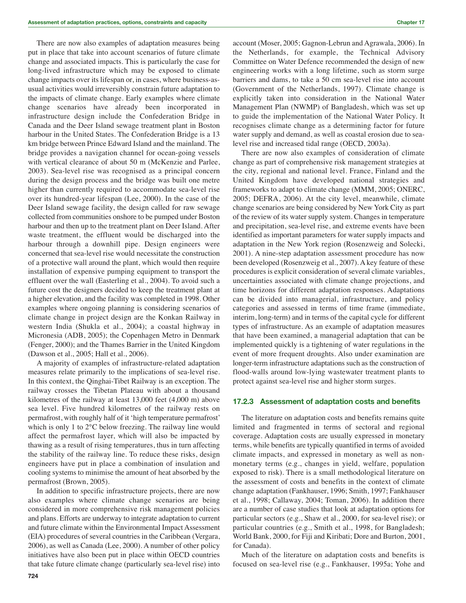There are now also examples of adaptation measures being put in place that take into account scenarios of future climate change and associated impacts. This is particularly the case for long-lived infrastructure which may be exposed to climate change impacts over its lifespan or, in cases, where business-asusual activities would irreversibly constrain future adaptation to the impacts of climate change. Early examples where climate change scenarios have already been incorporated in infrastructure design include the Confederation Bridge in Canada and the Deer Island sewage treatment plant in Boston harbour in the United States. The Confederation Bridge is a 13 km bridge between Prince Edward Island and the mainland. The bridge provides a navigation channel for ocean-going vessels with vertical clearance of about 50 m (McKenzie and Parlee, 2003). Sea-level rise was recognised as a principal concern during the design process and the bridge was built one metre higher than currently required to accommodate sea-level rise over its hundred-year lifespan (Lee, 2000). In the case of the Deer Island sewage facility, the design called for raw sewage collected from communities onshore to be pumped under Boston harbour and then up to the treatment plant on Deer Island. After waste treatment, the effluent would be discharged into the harbour through a downhill pipe. Design engineers were concerned that sea-level rise would necessitate the construction of a protective wall around the plant, which would then require installation of expensive pumping equipment to transport the effluent over the wall (Easterling et al., 2004). To avoid such a future cost the designers decided to keep the treatment plant at a higher elevation, and the facility was completed in 1998. Other examples where ongoing planning is considering scenarios of climate change in project design are the Konkan Railway in western India (Shukla et al., 2004); a coastal highway in Micronesia (ADB, 2005); the Copenhagen Metro in Denmark (Fenger, 2000); and the Thames Barrier in the United Kingdom (Dawson et al., 2005; Hall et al., 2006).

A majority of examples of infrastructure-related adaptation measures relate primarily to the implications of sea-level rise. In this context, the Qinghai-Tibet Railway is an exception. The railway crosses the Tibetan Plateau with about a thousand kilometres of the railway at least 13,000 feet (4,000 m) above sea level. Five hundred kilometres of the railway rests on permafrost, with roughly half of it 'high temperature permafrost' which is only 1 to 2°C below freezing. The railway line would affect the permafrost layer, which will also be impacted by thawing as a result of rising temperatures, thus in turn affecting the stability of the railway line. To reduce these risks, design engineers have put in place a combination of insulation and cooling systems to minimise the amount of heat absorbed by the permafrost (Brown, 2005).

In addition to specific infrastructure projects, there are now also examples where climate change scenarios are being considered in more comprehensive risk management policies and plans. Efforts are underway to integrate adaptation to current and future climate within the Environmental Impact Assessment (EIA) procedures of several countries in the Caribbean (Vergara, 2006), as well as Canada (Lee, 2000). A number of other policy initiatives have also been put in place within OECD countries that take future climate change (particularly sea-level rise) into

account (Moser, 2005; Gagnon-Lebrun and Agrawala, 2006). In the Netherlands, for example, the Technical Advisory Committee on Water Defence recommended the design of new engineering works with a long lifetime, such as storm surge barriers and dams, to take a 50 cm sea-level rise into account (Government of the Netherlands, 1997). Climate change is explicitly taken into consideration in the National Water Management Plan (NWMP) of Bangladesh, which was set up to guide the implementation of the National Water Policy. It recognises climate change as a determining factor for future water supply and demand, as well as coastal erosion due to sealevel rise and increased tidal range (OECD, 2003a).

There are now also examples of consideration of climate change as part of comprehensive risk management strategies at the city, regional and national level. France, Finland and the United Kingdom have developed national strategies and frameworks to adapt to climate change (MMM, 2005; ONERC, 2005; DEFRA, 2006). At the city level, meanwhile, climate change scenarios are being considered by New York City as part of the review of its water supply system. Changes in temperature and precipitation, sea-level rise, and extreme events have been identified as important parameters for water supply impacts and adaptation in the New York region (Rosenzweig and Solecki, 2001). A nine-step adaptation assessment procedure has now been developed (Rosenzweig et al., 2007). A key feature of these procedures is explicit consideration of several climate variables, uncertainties associated with climate change projections, and time horizons for different adaptation responses. Adaptations can be divided into managerial, infrastructure, and policy categories and assessed in terms of time frame (immediate, interim, long-term) and in terms of the capital cycle for different types of infrastructure. As an example of adaptation measures that have been examined, a managerial adaptation that can be implemented quickly is a tightening of water regulations in the event of more frequent droughts. Also under examination are longer-term infrastructure adaptations such as the construction of flood-walls around low-lying wastewater treatment plants to protect against sea-level rise and higher storm surges.

#### **17.2.3 Assessment of adaptation costs and benefits**

The literature on adaptation costs and benefits remains quite limited and fragmented in terms of sectoral and regional coverage. Adaptation costs are usually expressed in monetary terms, while benefits are typically quantified in terms of avoided climate impacts, and expressed in monetary as well as nonmonetary terms (e.g., changes in yield, welfare, population exposed to risk). There is a small methodological literature on the assessment of costs and benefits in the context of climate change adaptation (Fankhauser, 1996; Smith, 1997; Fankhauser et al., 1998; Callaway, 2004; Toman, 2006). In addition there are a number of case studies that look at adaptation options for particular sectors (e.g., Shaw et al., 2000, for sea-level rise); or particular countries (e.g., Smith et al., 1998, for Bangladesh; World Bank, 2000, for Fiji and Kiribati; Dore and Burton, 2001, for Canada).

Much of the literature on adaptation costs and benefits is focused on sea-level rise (e.g., Fankhauser, 1995a; Yohe and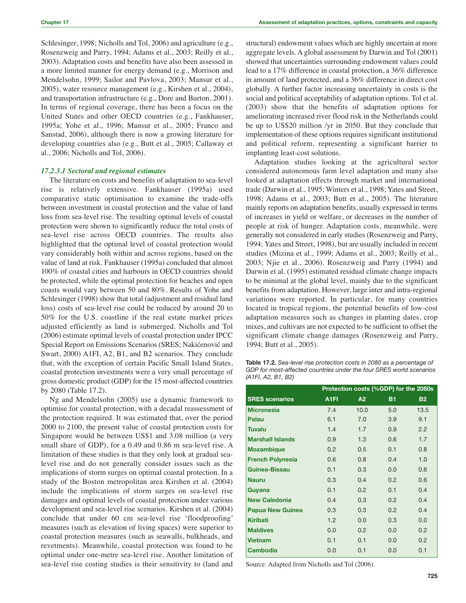Schlesinger, 1998; Nicholls and Tol, 2006) and agriculture (e.g., Rosenzweig and Parry, 1994; Adams et al., 2003; Reilly et al., 2003). Adaptation costs and benefits have also been assessed in a more limited manner for energy demand (e.g., Morrison and Mendelsohn, 1999; Sailor and Pavlova, 2003; Mansur et al., 2005), water resource management (e.g., Kirshen et al., 2004), and transportation infrastructure (e.g., Dore and Burton, 2001). In terms of regional coverage, there has been a focus on the United States and other OECD countries (e.g., Fankhauser, 1995a; Yohe et al., 1996; Mansur et al., 2005; Franco and Sanstad, 2006), although there is now a growing literature for developing countries also (e.g., Butt et al., 2005; Callaway et al., 2006; Nicholls and Tol, 2006).

#### *17.2.3.1 Sectoral and regional estimates*

The literature on costs and benefits of adaptation to sea-level rise is relatively extensive. Fankhauser (1995a) used comparative static optimisation to examine the trade-offs between investment in coastal protection and the value of land loss from sea-level rise. The resulting optimal levels of coastal protection were shown to significantly reduce the total costs of sea-level rise across OECD countries. The results also highlighted that the optimal level of coastal protection would vary considerably both within and across regions, based on the value of land at risk. Fankhauser (1995a) concluded that almost 100% of coastal cities and harbours in OECD countries should be protected, while the optimal protection for beaches and open coasts would vary between 50 and 80%. Results of Yohe and Schlesinger (1998) show that total (adjustment and residual land loss) costs of sea-level rise could be reduced by around 20 to 50% for the U.S. coastline if the real estate market prices adjusted efficiently as land is submerged. Nicholls and Tol (2006) estimate optimal levels of coastal protection under IPCC Special Report on Emissions Scenarios (SRES; Nakićenović and Swart, 2000) A1FI, A2, B1, and B2 scenarios. They conclude that, with the exception of certain Pacific Small Island States, coastal protection investments were a very small percentage of gross domestic product (GDP) for the 15 most-affected countries by 2080 (Table 17.2).

Ng and Mendelsohn (2005) use a dynamic framework to optimise for coastal protection, with a decadal reassessment of the protection required. It was estimated that, over the period 2000 to 2100, the present value of coastal protection costs for Singapore would be between US\$1 and 3.08 million (a very small share of GDP), for a 0.49 and 0.86 m sea-level rise. A limitation of these studies is that they only look at gradual sealevel rise and do not generally consider issues such as the implications of storm surges on optimal coastal protection. In a study of the Boston metropolitan area Kirshen et al. (2004) include the implications of storm surges on sea-level rise damages and optimal levels of coastal protection under various development and sea-level rise scenarios. Kirshen et al. (2004) conclude that under 60 cm sea-level rise 'floodproofing' measures (such as elevation of living spaces) were superior to coastal protection measures (such as seawalls, bulkheads, and revetments). Meanwhile, coastal protection was found to be optimal under one-metre sea-level rise. Another limitation of sea-level rise costing studies is their sensitivity to (land and structural) endowment values which are highly uncertain at more aggregate levels. A global assessment by Darwin and Tol (2001) showed that uncertainties surrounding endowment values could lead to a 17% difference in coastal protection, a 36% difference in amount of land protected, and a 36% difference in direct cost globally. A further factor increasing uncertainty in costs is the social and political acceptability of adaptation options. Tol et al. (2003) show that the benefits of adaptation options for ameliorating increased river flood risk in the Netherlands could be up to US\$20 million /yr in 2050. But they conclude that implementation of these options requires significant institutional and political reform, representing a significant barrier to implanting least-cost solutions.

Adaptation studies looking at the agricultural sector considered autonomous farm level adaptation and many also looked at adaptation effects through market and international trade (Darwin et al., 1995; Winters et al., 1998; Yates and Street, 1998; Adams et al., 2003; Butt et al., 2005). The literature mainly reports on adaptation benefits, usually expressed in terms of increases in yield or welfare, or decreases in the number of people at risk of hunger. Adaptation costs, meanwhile, were generally not considered in early studies (Rosenzweig and Parry, 1994; Yates and Street, 1998), but are usually included in recent studies (Mizina et al., 1999; Adams et al., 2003; Reilly et al., 2003; Njie et al., 2006). Rosenzweig and Parry (1994) and Darwin et al. (1995) estimated residual climate change impacts to be minimal at the global level, mainly due to the significant benefits from adaptation. However, large inter and intra-regional variations were reported. In particular, for many countries located in tropical regions, the potential benefits of low-cost adaptation measures such as changes in planting dates, crop mixes, and cultivars are not expected to be sufficient to offset the significant climate change damages (Rosenzweig and Parry, 1994; Butt et al., 2005).

**Table 17.2.** *Sea-level rise protection costs in 2080 as a percentage of GDP for most-affected countries under the four SRES world scenarios (A1FI, A2, B1, B2)*

|                         | Protection costs (%GDP) for the 2080s |               |           |           |
|-------------------------|---------------------------------------|---------------|-----------|-----------|
| <b>SRES</b> scenarios   | A <sub>1</sub> FI                     | A2            | <b>B1</b> | <b>B2</b> |
| <b>Micronesia</b>       | 7.4                                   | 10.0          | 5.0       | 13.5      |
| Palau                   | 6.1                                   | 7.0           | 3.9       | 9.1       |
| <b>Tuvalu</b>           | 1.4                                   | 1.7           | 0.9       | 2.2       |
| <b>Marshall Islands</b> | 0.9                                   | 1.3           | 0.6       | 1.7       |
| <b>Mozambique</b>       | 0.2                                   | 0.5           | 0.1       | 0.8       |
| <b>French Polynesia</b> | 0.6                                   | 0.8           | 0.4       | 1.0       |
| Guinea-Bissau           | 0.1                                   | 0.3           | 0.0       | 0.6       |
| <b>Nauru</b>            | 0.3                                   | 0.4           | 0.2       | 0.6       |
| Guyana                  | 0.1                                   | 0.2           | 0.1       | 0.4       |
| <b>New Caledonia</b>    | 0.4                                   | 0.3           | 0.2       | 0.4       |
| <b>Papua New Guinea</b> | 0.3                                   | 0.3           | 0.2       | 0.4       |
| <b>Kiribati</b>         | 1.2                                   | 0.0           | 0.3       | 0.0       |
| <b>Maldives</b>         | 0.0                                   | $0.2^{\circ}$ | 0.0       | 0.2       |
| <b>Vietnam</b>          | 0.1                                   | 0.1           | 0.0       | 0.2       |
| <b>Cambodia</b>         | 0.0                                   | 0.1           | 0.0       | 0.1       |

Source: Adapted from Nicholls and Tol (2006).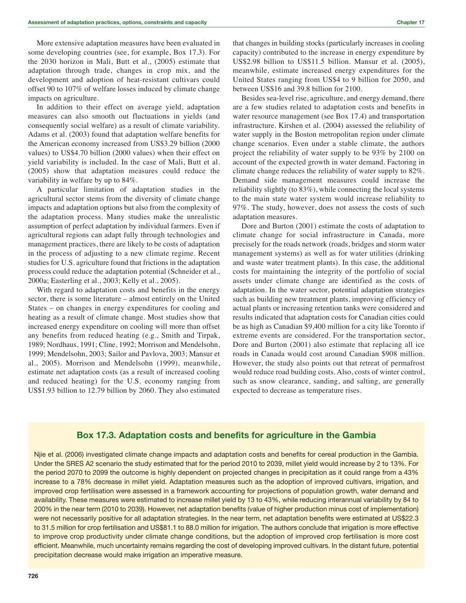More extensive adaptation measures have been evaluated in some developing countries (see, for example, Box 17.3). For the 2030 horizon in Mali, Butt et al., (2005) estimate that adaptation through trade, changes in crop mix, and the development and adoption of heat-resistant cultivars could offset 90 to 107% of welfare losses induced by climate change impacts on agriculture.

In addition to their effect on average yield, adaptation measures can also smooth out fluctuations in yields (and consequently social welfare) as a result of climate variability. Adams et al. (2003) found that adaptation welfare benefits for the American economy increased from US\$3.29 billion (2000 values) to US\$4.70 billion (2000 values) when their effect on yield variability is included. In the case of Mali, Butt et al. (2005) show that adaptation measures could reduce the variability in welfare by up to 84%.

A particular limitation of adaptation studies in the agricultural sector stems from the diversity of climate change impacts and adaptation options but also from the complexity of the adaptation process. Many studies make the unrealistic assumption of perfect adaptation by individual farmers. Even if agricultural regions can adapt fully through technologies and management practices, there are likely to be costs of adaptation in the process of adjusting to a new climate regime. Recent studies for U.S. agriculture found that frictions in the adaptation process could reduce the adaptation potential (Schneider et al., 2000a; Easterling et al., 2003; Kelly et al., 2005).

With regard to adaptation costs and benefits in the energy sector, there is some literature – almost entirely on the United States – on changes in energy expenditures for cooling and heating as a result of climate change. Most studies show that increased energy expenditure on cooling will more than offset any benefits from reduced heating (e.g., Smith and Tirpak, 1989; Nordhaus, 1991; Cline, 1992; Morrison and Mendelsohn, 1999; Mendelsohn, 2003; Sailor and Pavlova, 2003; Mansur et al., 2005). Morrison and Mendelsohn (1999), meanwhile, estimate net adaptation costs (as a result of increased cooling and reduced heating) for the U.S. economy ranging from US\$1.93 billion to 12.79 billion by 2060. They also estimated

that changes in building stocks (particularly increases in cooling capacity) contributed to the increase in energy expenditure by US\$2.98 billion to US\$11.5 billion. Mansur et al. (2005), meanwhile, estimate increased energy expenditures for the United States ranging from US\$4 to 9 billion for 2050, and between US\$16 and 39.8 billion for 2100.

Besides sea-level rise, agriculture, and energy demand, there are a few studies related to adaptation costs and benefits in water resource management (see Box 17.4) and transportation infrastructure. Kirshen et al. (2004) assessed the reliability of water supply in the Boston metropolitan region under climate change scenarios. Even under a stable climate, the authors project the reliability of water supply to be 93% by 2100 on account of the expected growth in water demand. Factoring in climate change reduces the reliability of water supply to 82%. Demand side management measures could increase the reliability slightly (to 83%), while connecting the local systems to the main state water system would increase reliability to 97%. The study, however, does not assess the costs of such adaptation measures.

Dore and Burton (2001) estimate the costs of adaptation to climate change for social infrastructure in Canada, more precisely for the roads network (roads, bridges and storm water management systems) as well as for water utilities (drinking and waste water treatment plants). In this case, the additional costs for maintaining the integrity of the portfolio of social assets under climate change are identified as the costs of adaptation. In the water sector, potential adaptation strategies such as building new treatment plants, improving efficiency of actual plants or increasing retention tanks were considered and results indicated that adaptation costs for Canadian cities could be as high as Canadian \$9,400 million for a city like Toronto if extreme events are considered. For the transportation sector, Dore and Burton (2001) also estimate that replacing all ice roads in Canada would cost around Canadian \$908 million. However, the study also points out that retreat of permafrost would reduce road building costs. Also, costs of winter control, such as snow clearance, sanding, and salting, are generally expected to decrease as temperature rises.

### **Box 17.3. Adaptation costs and benefits for agriculture in the Gambia**

Njie et al. (2006) investigated climate change impacts and adaptation costs and benefits for cereal production in the Gambia. Under the SRES A2 scenario the study estimated that for the period 2010 to 2039, millet yield would increase by 2 to 13%. For the period 2070 to 2099 the outcome is highly dependent on projected changes in precipitation as it could range from a 43% increase to a 78% decrease in millet yield. Adaptation measures such as the adoption of improved cultivars, irrigation, and improved crop fertilisation were assessed in a framework accounting for projections of population growth, water demand and availability. These measures were estimated to increase millet yield by 13 to 43%, while reducing interannual variability by 84 to 200% in the near term (2010 to 2039). However, net adaptation benefits (value of higher production minus cost of implementation) were not necessarily positive for all adaptation strategies. In the near term, net adaptation benefits were estimated at US\$22.3 to 31.5 million for crop fertilisation and US\$81.1 to 88.0 million for irrigation. The authors conclude that irrigation is more effective to improve crop productivity under climate change conditions, but the adoption of improved crop fertilisation is more cost efficient. Meanwhile, much uncertainty remains regarding the cost of developing improved cultivars. In the distant future, potential precipitation decrease would make irrigation an imperative measure.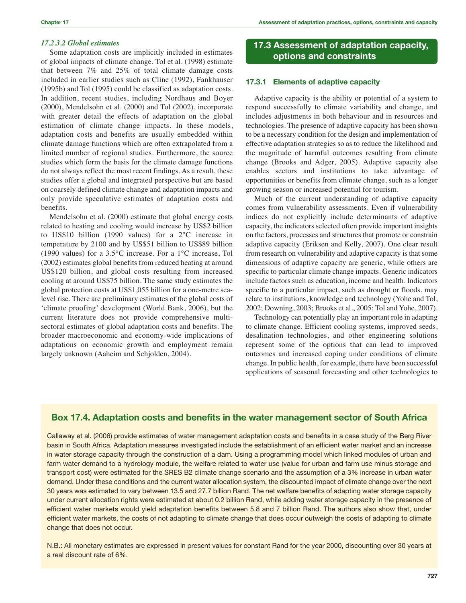#### *17.2.3.2 Global estimates*

Some adaptation costs are implicitly included in estimates of global impacts of climate change. Tol et al. (1998) estimate that between 7% and 25% of total climate damage costs included in earlier studies such as Cline (1992), Fankhauser (1995b) and Tol (1995) could be classified as adaptation costs. In addition, recent studies, including Nordhaus and Boyer (2000), Mendelsohn et al. (2000) and Tol (2002), incorporate with greater detail the effects of adaptation on the global estimation of climate change impacts. In these models, adaptation costs and benefits are usually embedded within climate damage functions which are often extrapolated from a limited number of regional studies. Furthermore, the source studies which form the basis for the climate damage functions do not always reflect the most recent findings. As a result, these studies offer a global and integrated perspective but are based on coarsely defined climate change and adaptation impacts and only provide speculative estimates of adaptation costs and benefits.

Mendelsohn et al. (2000) estimate that global energy costs related to heating and cooling would increase by US\$2 billion to US\$10 billion (1990 values) for a 2°C increase in temperature by 2100 and by US\$51 billion to US\$89 billion (1990 values) for a 3.5°C increase. For a 1°C increase, Tol (2002) estimates global benefits from reduced heating at around US\$120 billion, and global costs resulting from increased cooling at around US\$75 billion. The same study estimates the global protection costs at US\$1,055 billion for a one-metre sealevel rise. There are preliminary estimates of the global costs of 'climate proofing' development (World Bank, 2006), but the current literature does not provide comprehensive multisectoral estimates of global adaptation costs and benefits. The broader macroeconomic and economy-wide implications of adaptations on economic growth and employment remain largely unknown (Aaheim and Schjolden, 2004).

# **17.3 Assessment of adaptation capacity, options and constraints**

#### **17.3.1 Elements of adaptive capacity**

Adaptive capacity is the ability or potential of a system to respond successfully to climate variability and change, and includes adjustments in both behaviour and in resources and technologies. The presence of adaptive capacity has been shown to be a necessary condition for the design and implementation of effective adaptation strategies so as to reduce the likelihood and the magnitude of harmful outcomes resulting from climate change (Brooks and Adger, 2005). Adaptive capacity also enables sectors and institutions to take advantage of opportunities or benefits from climate change, such as a longer growing season or increased potential for tourism.

Much of the current understanding of adaptive capacity comes from vulnerability assessments. Even if vulnerability indices do not explicitly include determinants of adaptive capacity, the indicators selected often provide important insights on the factors, processes and structures that promote or constrain adaptive capacity (Eriksen and Kelly, 2007). One clear result from research on vulnerability and adaptive capacity is that some dimensions of adaptive capacity are generic, while others are specific to particular climate change impacts. Generic indicators include factors such as education, income and health. Indicators specific to a particular impact, such as drought or floods, may relate to institutions, knowledge and technology (Yohe and Tol, 2002; Downing, 2003; Brooks et al., 2005; Tol and Yohe, 2007).

Technology can potentially play an important role in adapting to climate change. Efficient cooling systems, improved seeds, desalination technologies, and other engineering solutions represent some of the options that can lead to improved outcomes and increased coping under conditions of climate change. In public health, for example, there have been successful applications of seasonal forecasting and other technologies to

# **Box 17.4. Adaptation costs and benefits in the water management sector of South Africa**

Callaway et al. (2006) provide estimates of water management adaptation costs and benefits in a case study of the Berg River basin in South Africa. Adaptation measures investigated include the establishment of an efficient water market and an increase in water storage capacity through the construction of a dam. Using a programming model which linked modules of urban and farm water demand to a hydrology module, the welfare related to water use (value for urban and farm use minus storage and transport cost) were estimated for the SRES B2 climate change scenario and the assumption of a 3% increase in urban water demand. Under these conditions and the current water allocation system, the discounted impact of climate change over the next 30 years was estimated to vary between 13.5 and 27.7 billion Rand. The net welfare benefits of adapting water storage capacity under current allocation rights were estimated at about 0.2 billion Rand, while adding water storage capacity in the presence of efficient water markets would yield adaptation benefits between 5.8 and 7 billion Rand. The authors also show that, under efficient water markets, the costs of not adapting to climate change that does occur outweigh the costs of adapting to climate change that does not occur.

N.B.: All monetary estimates are expressed in present values for constant Rand for the year 2000, discounting over 30 years at a real discount rate of 6%.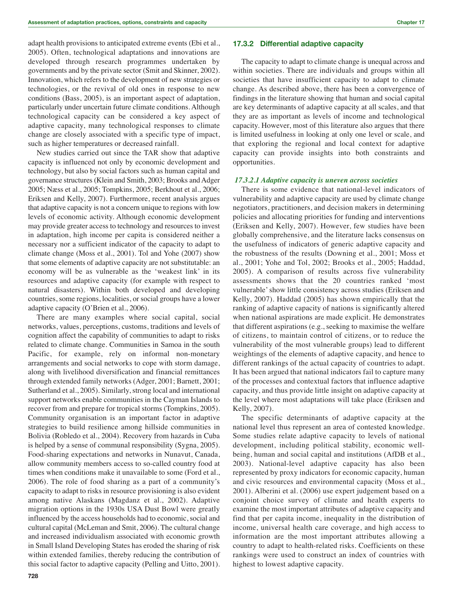adapt health provisions to anticipated extreme events (Ebi et al., 2005). Often, technological adaptations and innovations are developed through research programmes undertaken by governments and by the private sector (Smit and Skinner, 2002). Innovation, which refers to the development of new strategies or technologies, or the revival of old ones in response to new conditions (Bass, 2005), is an important aspect of adaptation, particularly under uncertain future climate conditions. Although technological capacity can be considered a key aspect of adaptive capacity, many technological responses to climate change are closely associated with a specific type of impact, such as higher temperatures or decreased rainfall.

New studies carried out since the TAR show that adaptive capacity is influenced not only by economic development and technology, but also by social factors such as human capital and governance structures (Klein and Smith, 2003; Brooks and Adger 2005; Næss et al., 2005; Tompkins, 2005; Berkhout et al., 2006; Eriksen and Kelly, 2007). Furthermore, recent analysis argues that adaptive capacity is not a concern unique to regions with low levels of economic activity. Although economic development may provide greater access to technology and resources to invest in adaptation, high income per capita is considered neither a necessary nor a sufficient indicator of the capacity to adapt to climate change (Moss et al., 2001). Tol and Yohe (2007) show that some elements of adaptive capacity are not substitutable: an economy will be as vulnerable as the 'weakest link' in its resources and adaptive capacity (for example with respect to natural disasters). Within both developed and developing countries, some regions, localities, or social groups have a lower adaptive capacity (O'Brien et al., 2006).

There are many examples where social capital, social networks, values, perceptions, customs, traditions and levels of cognition affect the capability of communities to adapt to risks related to climate change. Communities in Samoa in the south Pacific, for example, rely on informal non-monetary arrangements and social networks to cope with storm damage, along with livelihood diversification and financial remittances through extended family networks (Adger, 2001; Barnett, 2001; Sutherland et al., 2005). Similarly, strong local and international support networks enable communities in the Cayman Islands to recover from and prepare for tropical storms (Tompkins, 2005). Community organisation is an important factor in adaptive strategies to build resilience among hillside communities in Bolivia (Robledo et al., 2004). Recovery from hazards in Cuba is helped by a sense of communal responsibility (Sygna, 2005). Food-sharing expectations and networks in Nunavut, Canada, allow community members access to so-called country food at times when conditions make it unavailable to some (Ford et al., 2006). The role of food sharing as a part of a community's capacity to adapt to risks in resource provisioning is also evident among native Alaskans (Magdanz et al., 2002). Adaptive migration options in the 1930s USA Dust Bowl were greatly influenced by the access households had to economic, social and cultural capital (McLeman and Smit, 2006). The cultural change and increased individualism associated with economic growth in Small Island Developing States has eroded the sharing of risk within extended families, thereby reducing the contribution of this social factor to adaptive capacity (Pelling and Uitto, 2001).

#### **17.3.2 Differential adaptive capacity**

The capacity to adapt to climate change is unequal across and within societies. There are individuals and groups within all societies that have insufficient capacity to adapt to climate change. As described above, there has been a convergence of findings in the literature showing that human and social capital are key determinants of adaptive capacity at all scales, and that they are as important as levels of income and technological capacity. However, most of this literature also argues that there is limited usefulness in looking at only one level or scale, and that exploring the regional and local context for adaptive capacity can provide insights into both constraints and opportunities.

#### *17.3.2.1 Adaptive capacity is uneven across societies*

There is some evidence that national-level indicators of vulnerability and adaptive capacity are used by climate change negotiators, practitioners, and decision makers in determining policies and allocating priorities for funding and interventions (Eriksen and Kelly, 2007). However, few studies have been globally comprehensive, and the literature lacks consensus on the usefulness of indicators of generic adaptive capacity and the robustness of the results (Downing et al., 2001; Moss et al., 2001; Yohe and Tol, 2002; Brooks et al., 2005; Haddad, 2005). A comparison of results across five vulnerability assessments shows that the 20 countries ranked 'most vulnerable' show little consistency across studies (Eriksen and Kelly, 2007). Haddad (2005) has shown empirically that the ranking of adaptive capacity of nations is significantly altered when national aspirations are made explicit. He demonstrates that different aspirations (e.g., seeking to maximise the welfare of citizens, to maintain control of citizens, or to reduce the vulnerability of the most vulnerable groups) lead to different weightings of the elements of adaptive capacity, and hence to different rankings of the actual capacity of countries to adapt. It has been argued that national indicators fail to capture many of the processes and contextual factors that influence adaptive capacity, and thus provide little insight on adaptive capacity at the level where most adaptations will take place (Eriksen and Kelly, 2007).

The specific determinants of adaptive capacity at the national level thus represent an area of contested knowledge. Some studies relate adaptive capacity to levels of national development, including political stability, economic wellbeing, human and social capital and institutions (AfDB et al., 2003). National-level adaptive capacity has also been represented by proxy indicators for economic capacity, human and civic resources and environmental capacity (Moss et al., 2001). Alberini et al. (2006) use expert judgement based on a conjoint choice survey of climate and health experts to examine the most important attributes of adaptive capacity and find that per capita income, inequality in the distribution of income, universal health care coverage, and high access to information are the most important attributes allowing a country to adapt to health-related risks. Coefficients on these rankings were used to construct an index of countries with highest to lowest adaptive capacity.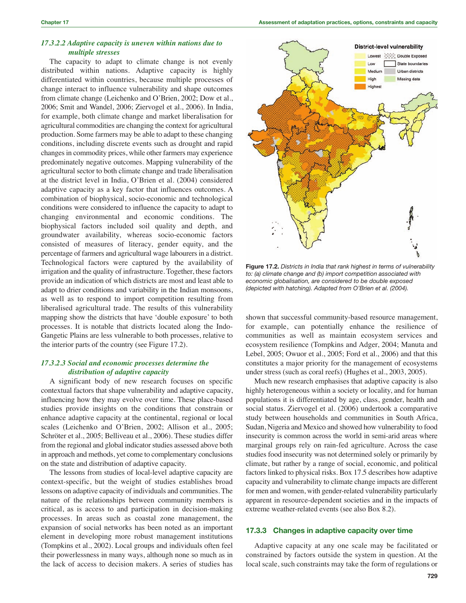#### *17.3.2.2 Adaptive capacity is uneven within nations due to multiple stresses*

The capacity to adapt to climate change is not evenly distributed within nations. Adaptive capacity is highly differentiated within countries, because multiple processes of change interact to influence vulnerability and shape outcomes from climate change (Leichenko and O'Brien, 2002; Dow et al., 2006; Smit and Wandel, 2006; Ziervogel et al., 2006). In India, for example, both climate change and market liberalisation for agricultural commodities are changing the context for agricultural production. Some farmers may be able to adapt to these changing conditions, including discrete events such as drought and rapid changes in commodity prices, while other farmers may experience predominately negative outcomes. Mapping vulnerability of the agricultural sector to both climate change and trade liberalisation at the district level in India, O'Brien et al. (2004) considered adaptive capacity as a key factor that influences outcomes. A combination of biophysical, socio-economic and technological conditions were considered to influence the capacity to adapt to changing environmental and economic conditions. The biophysical factors included soil quality and depth, and groundwater availability, whereas socio-economic factors consisted of measures of literacy, gender equity, and the percentage of farmers and agricultural wage labourers in a district. Technological factors were captured by the availability of irrigation and the quality of infrastructure. Together, these factors provide an indication of which districts are most and least able to adapt to drier conditions and variability in the Indian monsoons, as well as to respond to import competition resulting from liberalised agricultural trade. The results of this vulnerability mapping show the districts that have 'double exposure' to both processes. It is notable that districts located along the Indo-Gangetic Plains are less vulnerable to both processes, relative to the interior parts of the country (see Figure 17.2).

#### *17.3.2.3 Social and economic processes determine the distribution of adaptive capacity*

A significant body of new research focuses on specific contextual factors that shape vulnerability and adaptive capacity, influencing how they may evolve over time. These place-based studies provide insights on the conditions that constrain or enhance adaptive capacity at the continental, regional or local scales (Leichenko and O'Brien, 2002; Allison et al., 2005; Schröter et al., 2005; Belliveau et al., 2006). These studies differ from the regional and global indicator studies assessed above both in approach and methods, yet come to complementary conclusions on the state and distribution of adaptive capacity.

The lessons from studies of local-level adaptive capacity are context-specific, but the weight of studies establishes broad lessons on adaptive capacity of individuals and communities. The nature of the relationships between community members is critical, as is access to and participation in decision-making processes. In areas such as coastal zone management, the expansion of social networks has been noted as an important element in developing more robust management institutions (Tompkins et al., 2002). Local groups and individuals often feel their powerlessness in many ways, although none so much as in the lack of access to decision makers. A series of studies has



**Figure 17.2.** *Districts in India that rank highest in terms of vulnerability to: (a) climate change and (b) import competition associated with economic globalisation, are considered to be double exposed (depicted with hatching). Adapted from O'Brien et al. (2004).*

shown that successful community-based resource management, for example, can potentially enhance the resilience of communities as well as maintain ecosystem services and ecosystem resilience (Tompkins and Adger, 2004; Manuta and Lebel, 2005; Owuor et al., 2005; Ford et al., 2006) and that this constitutes a major priority for the management of ecosystems under stress (such as coral reefs) (Hughes et al., 2003, 2005).

Much new research emphasises that adaptive capacity is also highly heterogeneous within a society or locality, and for human populations it is differentiated by age, class, gender, health and social status. Ziervogel et al. (2006) undertook a comparative study between households and communities in South Africa, Sudan, Nigeria and Mexico and showed how vulnerability to food insecurity is common across the world in semi-arid areas where marginal groups rely on rain-fed agriculture. Across the case studies food insecurity was not determined solely or primarily by climate, but rather by a range of social, economic, and political factors linked to physical risks. Box 17.5 describes how adaptive capacity and vulnerability to climate change impacts are different for men and women, with gender-related vulnerability particularly apparent in resource-dependent societies and in the impacts of extreme weather-related events (see also Box 8.2).

#### **17.3.3 Changes in adaptive capacity over time**

Adaptive capacity at any one scale may be facilitated or constrained by factors outside the system in question. At the local scale, such constraints may take the form of regulations or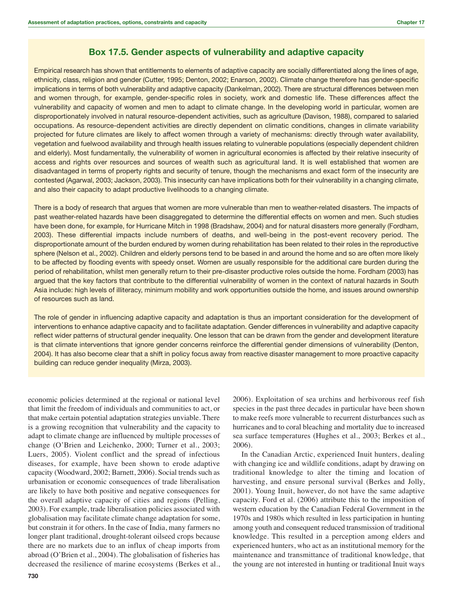# **Box 17.5. Gender aspects of vulnerability and adaptive capacity**

Empirical research has shown that entitlements to elements of adaptive capacity are socially differentiated along the lines of age, ethnicity, class, religion and gender (Cutter, 1995; Denton, 2002; Enarson, 2002). Climate change therefore has gender-specific implications in terms of both vulnerability and adaptive capacity (Dankelman, 2002). There are structural differences between men and women through, for example, gender-specific roles in society, work and domestic life. These differences affect the vulnerability and capacity of women and men to adapt to climate change. In the developing world in particular, women are disproportionately involved in natural resource-dependent activities, such as agriculture (Davison, 1988), compared to salaried occupations. As resource-dependent activities are directly dependent on climatic conditions, changes in climate variability projected for future climates are likely to affect women through a variety of mechanisms: directly through water availability, vegetation and fuelwood availability and through health issues relating to vulnerable populations (especially dependent children and elderly). Most fundamentally, the vulnerability of women in agricultural economies is affected by their relative insecurity of access and rights over resources and sources of wealth such as agricultural land. It is well established that women are disadvantaged in terms of property rights and security of tenure, though the mechanisms and exact form of the insecurity are contested (Agarwal, 2003; Jackson, 2003). This insecurity can have implications both for their vulnerability in a changing climate, and also their capacity to adapt productive livelihoods to a changing climate.

There is a body of research that argues that women are more vulnerable than men to weather-related disasters. The impacts of past weather-related hazards have been disaggregated to determine the differential effects on women and men. Such studies have been done, for example, for Hurricane Mitch in 1998 (Bradshaw, 2004) and for natural disasters more generally (Fordham, 2003). These differential impacts include numbers of deaths, and well-being in the post-event recovery period. The disproportionate amount of the burden endured by women during rehabilitation has been related to their roles in the reproductive sphere (Nelson et al., 2002). Children and elderly persons tend to be based in and around the home and so are often more likely to be affected by flooding events with speedy onset. Women are usually responsible for the additional care burden during the period of rehabilitation, whilst men generally return to their pre-disaster productive roles outside the home. Fordham (2003) has argued that the key factors that contribute to the differential vulnerability of women in the context of natural hazards in South Asia include: high levels of illiteracy, minimum mobility and work opportunities outside the home, and issues around ownership of resources such as land.

The role of gender in influencing adaptive capacity and adaptation is thus an important consideration for the development of interventions to enhance adaptive capacity and to facilitate adaptation. Gender differences in vulnerability and adaptive capacity reflect wider patterns of structural gender inequality. One lesson that can be drawn from the gender and development literature is that climate interventions that ignore gender concerns reinforce the differential gender dimensions of vulnerability (Denton, 2004). It has also become clear that a shift in policy focus away from reactive disaster management to more proactive capacity building can reduce gender inequality (Mirza, 2003).

economic policies determined at the regional or national level that limit the freedom of individuals and communities to act, or that make certain potential adaptation strategies unviable. There is a growing recognition that vulnerability and the capacity to adapt to climate change are influenced by multiple processes of change (O'Brien and Leichenko, 2000; Turner et al., 2003; Luers, 2005). Violent conflict and the spread of infectious diseases, for example, have been shown to erode adaptive capacity (Woodward, 2002; Barnett, 2006). Social trends such as urbanisation or economic consequences of trade liberalisation are likely to have both positive and negative consequences for the overall adaptive capacity of cities and regions (Pelling, 2003). For example, trade liberalisation policies associated with globalisation may facilitate climate change adaptation for some, but constrain it for others. In the case of India, many farmers no longer plant traditional, drought-tolerant oilseed crops because there are no markets due to an influx of cheap imports from abroad (O'Brien et al., 2004). The globalisation of fisheries has decreased the resilience of marine ecosystems (Berkes et al., 2006). Exploitation of sea urchins and herbivorous reef fish species in the past three decades in particular have been shown to make reefs more vulnerable to recurrent disturbances such as hurricanes and to coral bleaching and mortality due to increased sea surface temperatures (Hughes et al., 2003; Berkes et al., 2006).

In the Canadian Arctic, experienced Inuit hunters, dealing with changing ice and wildlife conditions, adapt by drawing on traditional knowledge to alter the timing and location of harvesting, and ensure personal survival (Berkes and Jolly, 2001). Young Inuit, however, do not have the same adaptive capacity. Ford et al. (2006) attribute this to the imposition of western education by the Canadian Federal Government in the 1970s and 1980s which resulted in less participation in hunting among youth and consequent reduced transmission of traditional knowledge. This resulted in a perception among elders and experienced hunters, who act as an institutional memory for the maintenance and transmittance of traditional knowledge, that the young are not interested in hunting or traditional Inuit ways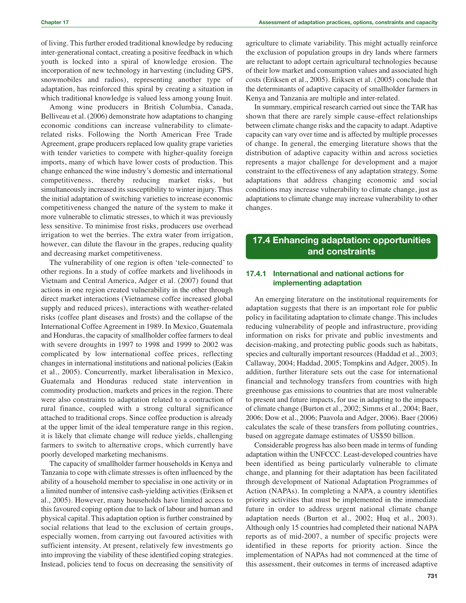of living. This further eroded traditional knowledge by reducing inter-generational contact, creating a positive feedback in which youth is locked into a spiral of knowledge erosion. The incorporation of new technology in harvesting (including GPS, snowmobiles and radios), representing another type of adaptation, has reinforced this spiral by creating a situation in which traditional knowledge is valued less among young Inuit.

Among wine producers in British Columbia, Canada, Belliveau et al. (2006) demonstrate how adaptations to changing economic conditions can increase vulnerability to climaterelated risks. Following the North American Free Trade Agreement, grape producers replaced low quality grape varieties with tender varieties to compete with higher-quality foreign imports, many of which have lower costs of production. This change enhanced the wine industry's domestic and international competitiveness, thereby reducing market risks, but simultaneously increased its susceptibility to winter injury. Thus the initial adaptation of switching varieties to increase economic competitiveness changed the nature of the system to make it more vulnerable to climatic stresses, to which it was previously less sensitive. To minimise frost risks, producers use overhead irrigation to wet the berries. The extra water from irrigation, however, can dilute the flavour in the grapes, reducing quality and decreasing market competitiveness.

The vulnerability of one region is often 'tele-connected' to other regions. In a study of coffee markets and livelihoods in Vietnam and Central America, Adger et al. (2007) found that actions in one region created vulnerability in the other through direct market interactions (Vietnamese coffee increased global supply and reduced prices), interactions with weather-related risks (coffee plant diseases and frosts) and the collapse of the International Coffee Agreement in 1989. In Mexico, Guatemala and Honduras, the capacity of smallholder coffee farmers to deal with severe droughts in 1997 to 1998 and 1999 to 2002 was complicated by low international coffee prices, reflecting changes in international institutions and national policies (Eakin et al., 2005). Concurrently, market liberalisation in Mexico, Guatemala and Honduras reduced state intervention in commodity production, markets and prices in the region. There were also constraints to adaptation related to a contraction of rural finance, coupled with a strong cultural significance attached to traditional crops. Since coffee production is already at the upper limit of the ideal temperature range in this region, it is likely that climate change will reduce yields, challenging farmers to switch to alternative crops, which currently have poorly developed marketing mechanisms.

The capacity of smallholder farmer households in Kenya and Tanzania to cope with climate stresses is often influenced by the ability of a household member to specialise in one activity or in a limited number of intensive cash-yielding activities (Eriksen et al., 2005). However, many households have limited access to this favoured coping option due to lack of labour and human and physical capital. This adaptation option is further constrained by social relations that lead to the exclusion of certain groups, especially women, from carrying out favoured activities with sufficient intensity. At present, relatively few investments go into improving the viability of these identified coping strategies. Instead, policies tend to focus on decreasing the sensitivity of agriculture to climate variability. This might actually reinforce the exclusion of population groups in dry lands where farmers are reluctant to adopt certain agricultural technologies because of their low market and consumption values and associated high costs (Eriksen et al., 2005). Eriksen et al. (2005) conclude that the determinants of adaptive capacity of smallholder farmers in Kenya and Tanzania are multiple and inter-related.

In summary, empirical research carried out since the TAR has shown that there are rarely simple cause-effect relationships between climate change risks and the capacity to adapt. Adaptive capacity can vary over time and is affected by multiple processes of change. In general, the emerging literature shows that the distribution of adaptive capacity within and across societies represents a major challenge for development and a major constraint to the effectiveness of any adaptation strategy. Some adaptations that address changing economic and social conditions may increase vulnerability to climate change, just as adaptations to climate change may increase vulnerability to other changes.

# **17.4 Enhancing adaptation: opportunities and constraints**

# **17.4.1 International and national actions for implementing adaptation**

An emerging literature on the institutional requirements for adaptation suggests that there is an important role for public policy in facilitating adaptation to climate change. This includes reducing vulnerability of people and infrastructure, providing information on risks for private and public investments and decision-making, and protecting public goods such as habitats, species and culturally important resources (Haddad et al., 2003; Callaway, 2004; Haddad, 2005; Tompkins and Adger, 2005). In addition, further literature sets out the case for international financial and technology transfers from countries with high greenhouse gas emissions to countries that are most vulnerable to present and future impacts, for use in adapting to the impacts of climate change (Burton et al., 2002; Simms et al., 2004; Baer, 2006; Dow et al., 2006; Paavola and Adger, 2006). Baer (2006) calculates the scale of these transfers from polluting countries, based on aggregate damage estimates of US\$50 billion.

Considerable progress has also been made in terms of funding adaptation within the UNFCCC. Least-developed countries have been identified as being particularly vulnerable to climate change, and planning for their adaptation has been facilitated through development of National Adaptation Programmes of Action (NAPAs). In completing a NAPA, a country identifies priority activities that must be implemented in the immediate future in order to address urgent national climate change adaptation needs (Burton et al., 2002; Huq et al., 2003). Although only 15 countries had completed their national NAPA reports as of mid-2007, a number of specific projects were identified in these reports for priority action. Since the implementation of NAPAs had not commenced at the time of this assessment, their outcomes in terms of increased adaptive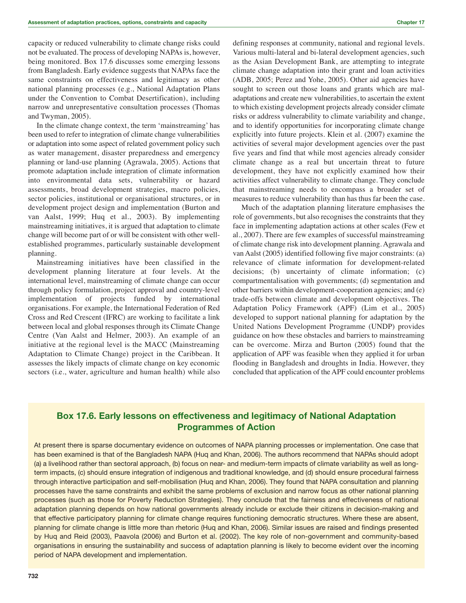capacity or reduced vulnerability to climate change risks could not be evaluated. The process of developing NAPAs is, however, being monitored. Box 17.6 discusses some emerging lessons from Bangladesh. Early evidence suggests that NAPAs face the same constraints on effectiveness and legitimacy as other national planning processes (e.g., National Adaptation Plans under the Convention to Combat Desertification), including narrow and unrepresentative consultation processes (Thomas and Twyman, 2005).

In the climate change context, the term 'mainstreaming' has been used to refer to integration of climate change vulnerabilities or adaptation into some aspect of related government policy such as water management, disaster preparedness and emergency planning or land-use planning (Agrawala, 2005). Actions that promote adaptation include integration of climate information into environmental data sets, vulnerability or hazard assessments, broad development strategies, macro policies, sector policies, institutional or organisational structures, or in development project design and implementation (Burton and van Aalst, 1999; Huq et al., 2003). By implementing mainstreaming initiatives, it is argued that adaptation to climate change will become part of or will be consistent with other wellestablished programmes, particularly sustainable development planning.

Mainstreaming initiatives have been classified in the development planning literature at four levels. At the international level, mainstreaming of climate change can occur through policy formulation, project approval and country-level implementation of projects funded by international organisations. For example, the International Federation of Red Cross and Red Crescent (IFRC) are working to facilitate a link between local and global responses through its Climate Change Centre (Van Aalst and Helmer, 2003). An example of an initiative at the regional level is the MACC (Mainstreaming Adaptation to Climate Change) project in the Caribbean. It assesses the likely impacts of climate change on key economic sectors (i.e., water, agriculture and human health) while also defining responses at community, national and regional levels. Various multi-lateral and bi-lateral development agencies, such as the Asian Development Bank, are attempting to integrate climate change adaptation into their grant and loan activities (ADB, 2005; Perez and Yohe, 2005). Other aid agencies have sought to screen out those loans and grants which are maladaptations and create new vulnerabilities, to ascertain the extent to which existing development projects already consider climate risks or address vulnerability to climate variability and change, and to identify opportunities for incorporating climate change explicitly into future projects. Klein et al. (2007) examine the activities of several major development agencies over the past five years and find that while most agencies already consider climate change as a real but uncertain threat to future development, they have not explicitly examined how their activities affect vulnerability to climate change. They conclude that mainstreaming needs to encompass a broader set of measures to reduce vulnerability than has thus far been the case.

Much of the adaptation planning literature emphasises the role of governments, but also recognises the constraints that they face in implementing adaptation actions at other scales (Few et al., 2007). There are few examples of successful mainstreaming of climate change risk into development planning. Agrawala and van Aalst (2005) identified following five major constraints: (a) relevance of climate information for development-related decisions; (b) uncertainty of climate information; (c) compartmentalisation with governments; (d) segmentation and other barriers within development-cooperation agencies; and (e) trade-offs between climate and development objectives. The Adaptation Policy Framework (APF) (Lim et al., 2005) developed to support national planning for adaptation by the United Nations Development Programme (UNDP) provides guidance on how these obstacles and barriers to mainstreaming can be overcome. Mirza and Burton (2005) found that the application of APF was feasible when they applied it for urban flooding in Bangladesh and droughts in India. However, they concluded that application of the APF could encounter problems

# **Box 17.6. Early lessons on effectiveness and legitimacy of National Adaptation Programmes of Action**

At present there is sparse documentary evidence on outcomes of NAPA planning processes or implementation. One case that has been examined is that of the Bangladesh NAPA (Huq and Khan, 2006). The authors recommend that NAPAs should adopt (a) a livelihood rather than sectoral approach, (b) focus on near- and medium-term impacts of climate variability as well as longterm impacts, (c) should ensure integration of indigenous and traditional knowledge, and (d) should ensure procedural fairness through interactive participation and self-mobilisation (Huq and Khan, 2006). They found that NAPA consultation and planning processes have the same constraints and exhibit the same problems of exclusion and narrow focus as other national planning processes (such as those for Poverty Reduction Strategies). They conclude that the fairness and effectiveness of national adaptation planning depends on how national governments already include or exclude their citizens in decision-making and that effective participatory planning for climate change requires functioning democratic structures. Where these are absent, planning for climate change is little more than rhetoric (Huq and Khan, 2006). Similar issues are raised and findings presented by Huq and Reid (2003), Paavola (2006) and Burton et al. (2002). The key role of non-government and community-based organisations in ensuring the sustainability and success of adaptation planning is likely to become evident over the incoming period of NAPA development and implementation.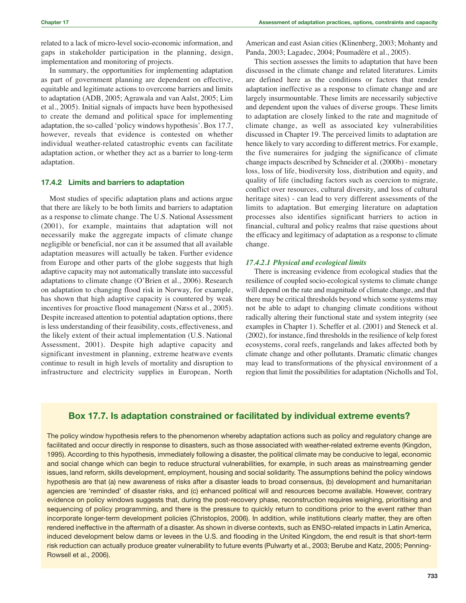related to a lack of micro-level socio-economic information, and gaps in stakeholder participation in the planning, design, implementation and monitoring of projects.

In summary, the opportunities for implementing adaptation as part of government planning are dependent on effective, equitable and legitimate actions to overcome barriers and limits to adaptation (ADB, 2005; Agrawala and van Aalst, 2005; Lim et al., 2005). Initial signals of impacts have been hypothesised to create the demand and political space for implementing adaptation, the so-called 'policy windows hypothesis'. Box 17.7, however, reveals that evidence is contested on whether individual weather-related catastrophic events can facilitate adaptation action, or whether they act as a barrier to long-term adaptation.

#### **17.4.2 Limits and barriers to adaptation**

Most studies of specific adaptation plans and actions argue that there are likely to be both limits and barriers to adaptation as a response to climate change. The U.S. National Assessment (2001), for example, maintains that adaptation will not necessarily make the aggregate impacts of climate change negligible or beneficial, nor can it be assumed that all available adaptation measures will actually be taken. Further evidence from Europe and other parts of the globe suggests that high adaptive capacity may not automatically translate into successful adaptations to climate change (O'Brien et al., 2006). Research on adaptation to changing flood risk in Norway, for example, has shown that high adaptive capacity is countered by weak incentives for proactive flood management (Næss et al., 2005). Despite increased attention to potential adaptation options, there is less understanding of their feasibility, costs, effectiveness, and the likely extent of their actual implementation (U.S. National Assessment, 2001). Despite high adaptive capacity and significant investment in planning, extreme heatwave events continue to result in high levels of mortality and disruption to infrastructure and electricity supplies in European, North

American and east Asian cities (Klinenberg, 2003; Mohanty and Panda, 2003; Lagadec, 2004; Poumadère et al., 2005).

This section assesses the limits to adaptation that have been discussed in the climate change and related literatures. Limits are defined here as the conditions or factors that render adaptation ineffective as a response to climate change and are largely insurmountable. These limits are necessarily subjective and dependent upon the values of diverse groups. These limits to adaptation are closely linked to the rate and magnitude of climate change, as well as associated key vulnerabilities discussed in Chapter 19. The perceived limits to adaptation are hence likely to vary according to different metrics. For example, the five numeraires for judging the significance of climate change impacts described by Schneider et al. (2000b) - monetary loss, loss of life, biodiversity loss, distribution and equity, and quality of life (including factors such as coercion to migrate, conflict over resources, cultural diversity, and loss of cultural heritage sites) - can lead to very different assessments of the limits to adaptation. But emerging literature on adaptation processes also identifies significant barriers to action in financial, cultural and policy realms that raise questions about the efficacy and legitimacy of adaptation as a response to climate change.

#### *17.4.2.1 Physical and ecological limits*

There is increasing evidence from ecological studies that the resilience of coupled socio-ecological systems to climate change will depend on the rate and magnitude of climate change, and that there may be critical thresholds beyond which some systems may not be able to adapt to changing climate conditions without radically altering their functional state and system integrity (see examples in Chapter 1). Scheffer et al. (2001) and Steneck et al. (2002), for instance, find thresholds in the resilience of kelp forest ecosystems, coral reefs, rangelands and lakes affected both by climate change and other pollutants. Dramatic climatic changes may lead to transformations of the physical environment of a region that limit the possibilities for adaptation (Nicholls and Tol,

# **Box 17.7. Is adaptation constrained or facilitated by individual extreme events?**

The policy window hypothesis refers to the phenomenon whereby adaptation actions such as policy and regulatory change are facilitated and occur directly in response to disasters, such as those associated with weather-related extreme events (Kingdon, 1995). According to this hypothesis, immediately following a disaster, the political climate may be conducive to legal, economic and social change which can begin to reduce structural vulnerabilities, for example, in such areas as mainstreaming gender issues, land reform, skills development, employment, housing and social solidarity. The assumptions behind the policy windows hypothesis are that (a) new awareness of risks after a disaster leads to broad consensus, (b) development and humanitarian agencies are 'reminded' of disaster risks, and (c) enhanced political will and resources become available. However, contrary evidence on policy windows suggests that, during the post-recovery phase, reconstruction requires weighing, prioritising and sequencing of policy programming, and there is the pressure to quickly return to conditions prior to the event rather than incorporate longer-term development policies (Christoplos, 2006). In addition, while institutions clearly matter, they are often rendered ineffective in the aftermath of a disaster. As shown in diverse contexts, such as ENSO-related impacts in Latin America, induced development below dams or levees in the U.S. and flooding in the United Kingdom, the end result is that short-term risk reduction can actually produce greater vulnerability to future events (Pulwarty et al., 2003; Berube and Katz, 2005; Penning-Rowsell et al., 2006).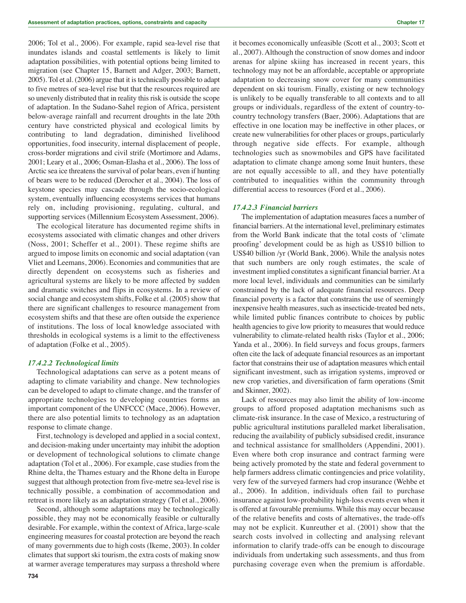2006; Tol et al., 2006). For example, rapid sea-level rise that inundates islands and coastal settlements is likely to limit adaptation possibilities, with potential options being limited to migration (see Chapter 15, Barnett and Adger, 2003; Barnett, 2005). Tol et al. (2006) argue that it is technically possible to adapt to five metres of sea-level rise but that the resources required are so unevenly distributed that in reality this risk is outside the scope of adaptation. In the Sudano-Sahel region of Africa, persistent below-average rainfall and recurrent droughts in the late 20th century have constricted physical and ecological limits by contributing to land degradation, diminished livelihood opportunities, food insecurity, internal displacement of people, cross-border migrations and civil strife (Mortimore and Adams, 2001; Leary et al., 2006; Osman-Elasha et al., 2006). The loss of Arctic sea ice threatens the survival of polar bears, even if hunting of bears were to be reduced (Derocher et al., 2004). The loss of keystone species may cascade through the socio-ecological system, eventually influencing ecosystems services that humans rely on, including provisioning, regulating, cultural, and supporting services (Millennium Ecosystem Assessment, 2006).

The ecological literature has documented regime shifts in ecosystems associated with climatic changes and other drivers (Noss, 2001; Scheffer et al., 2001). These regime shifts are argued to impose limits on economic and social adaptation (van Vliet and Leemans, 2006). Economies and communities that are directly dependent on ecosystems such as fisheries and agricultural systems are likely to be more affected by sudden and dramatic switches and flips in ecosystems. In a review of social change and ecosystem shifts, Folke et al. (2005) show that there are significant challenges to resource management from ecosystem shifts and that these are often outside the experience of institutions. The loss of local knowledge associated with thresholds in ecological systems is a limit to the effectiveness of adaptation (Folke et al., 2005).

#### *17.4.2.2 Technological limits*

Technological adaptations can serve as a potent means of adapting to climate variability and change. New technologies can be developed to adapt to climate change, and the transfer of appropriate technologies to developing countries forms an important component of the UNFCCC (Mace, 2006). However, there are also potential limits to technology as an adaptation response to climate change.

First, technology is developed and applied in a social context, and decision-making under uncertainty may inhibit the adoption or development of technological solutions to climate change adaptation (Tol et al., 2006). For example, case studies from the Rhine delta, the Thames estuary and the Rhone delta in Europe suggest that although protection from five-metre sea-level rise is technically possible, a combination of accommodation and retreat is more likely as an adaptation strategy (Tol et al., 2006).

Second, although some adaptations may be technologically possible, they may not be economically feasible or culturally desirable. For example, within the context of Africa, large-scale engineering measures for coastal protection are beyond the reach of many governments due to high costs (Ikeme, 2003). In colder climates that support ski tourism, the extra costs of making snow at warmer average temperatures may surpass a threshold where it becomes economically unfeasible (Scott et al., 2003; Scott et al., 2007). Although the construction of snow domes and indoor arenas for alpine skiing has increased in recent years, this technology may not be an affordable, acceptable or appropriate adaptation to decreasing snow cover for many communities dependent on ski tourism. Finally, existing or new technology is unlikely to be equally transferable to all contexts and to all groups or individuals, regardless of the extent of country-tocountry technology transfers (Baer, 2006). Adaptations that are effective in one location may be ineffective in other places, or create new vulnerabilities for other places or groups, particularly through negative side effects. For example, although technologies such as snowmobiles and GPS have facilitated adaptation to climate change among some Inuit hunters, these are not equally accessible to all, and they have potentially contributed to inequalities within the community through differential access to resources (Ford et al., 2006).

#### *17.4.2.3 Financial barriers*

The implementation of adaptation measures faces a number of financial barriers. At the international level, preliminary estimates from the World Bank indicate that the total costs of 'climate proofing' development could be as high as US\$10 billion to US\$40 billion /yr (World Bank, 2006). While the analysis notes that such numbers are only rough estimates, the scale of investment implied constitutes a significant financial barrier. At a more local level, individuals and communities can be similarly constrained by the lack of adequate financial resources. Deep financial poverty is a factor that constrains the use of seemingly inexpensive health measures, such as insecticide-treated bed nets, while limited public finances contribute to choices by public health agencies to give low priority to measures that would reduce vulnerability to climate-related health risks (Taylor et al., 2006; Yanda et al., 2006). In field surveys and focus groups, farmers often cite the lack of adequate financial resources as an important factor that constrains their use of adaptation measures which entail significant investment, such as irrigation systems, improved or new crop varieties, and diversification of farm operations (Smit and Skinner, 2002).

Lack of resources may also limit the ability of low-income groups to afford proposed adaptation mechanisms such as climate-risk insurance. In the case of Mexico, a restructuring of public agricultural institutions paralleled market liberalisation, reducing the availability of publicly subsidised credit, insurance and technical assistance for smallholders (Appendini, 2001). Even where both crop insurance and contract farming were being actively promoted by the state and federal government to help farmers address climatic contingencies and price volatility, very few of the surveyed farmers had crop insurance (Wehbe et al., 2006). In addition, individuals often fail to purchase insurance against low-probability high-loss events even when it is offered at favourable premiums. While this may occur because of the relative benefits and costs of alternatives, the trade-offs may not be explicit. Kunreuther et al. (2001) show that the search costs involved in collecting and analysing relevant information to clarify trade-offs can be enough to discourage individuals from undertaking such assessments, and thus from purchasing coverage even when the premium is affordable.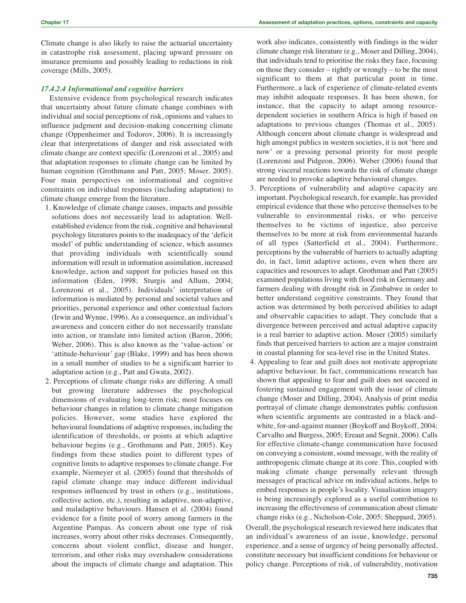Climate change is also likely to raise the actuarial uncertainty in catastrophe risk assessment, placing upward pressure on insurance premiums and possibly leading to reductions in risk coverage (Mills, 2005).

#### *17.4.2.4 Informational and cognitive barriers*

Extensive evidence from psychological research indicates that uncertainty about future climate change combines with individual and social perceptions of risk, opinions and values to influence judgment and decision-making concerning climate change (Oppenheimer and Todorov, 2006). It is increasingly clear that interpretations of danger and risk associated with climate change are context specific (Lorenzoni et al., 2005) and that adaptation responses to climate change can be limited by human cognition (Grothmann and Patt, 2005; Moser, 2005). Four main perspectives on informational and cognitive constraints on individual responses (including adaptation) to climate change emerge from the literature.

- 1. Knowledge of climate change causes, impacts and possible solutions does not necessarily lead to adaptation. Wellestablished evidence from the risk, cognitive and behavioural psychology literatures points to the inadequacy of the 'deficit model' of public understanding of science, which assumes that providing individuals with scientifically sound information will result in information assimilation, increased knowledge, action and support for policies based on this information (Eden, 1998; Sturgis and Allum, 2004; Lorenzoni et al., 2005). Individuals' interpretation of information is mediated by personal and societal values and priorities, personal experience and other contextual factors (Irwin and Wynne, 1996). As a consequence, an individual's awareness and concern either do not necessarily translate into action, or translate into limited action (Baron, 2006; Weber, 2006). This is also known as the 'value-action' or 'attitude-behaviour' gap (Blake, 1999) and has been shown in a small number of studies to be a significant barrier to adaptation action (e.g., Patt and Gwata, 2002).
- 2. Perceptions of climate change risks are differing. A small but growing literature addresses the psychological dimensions of evaluating long-term risk; most focuses on behaviour changes in relation to climate change mitigation policies. However, some studies have explored the behavioural foundations of adaptive responses, including the identification of thresholds, or points at which adaptive behaviour begins (e.g., Grothmann and Patt, 2005). Key findings from these studies point to different types of cognitive limits to adaptive responses to climate change. For example, Niemeyer et al. (2005) found that thresholds of rapid climate change may induce different individual responses influenced by trust in others (e.g., institutions, collective action, etc.), resulting in adaptive, non-adaptive, and maladaptive behaviours. Hansen et al. (2004) found evidence for a finite pool of worry among farmers in the Argentine Pampas. As concern about one type of risk increases, worry about other risks decreases. Consequently, concerns about violent conflict, disease and hunger, terrorism, and other risks may overshadow considerations about the impacts of climate change and adaptation. This

work also indicates, consistently with findings in the wider climate change risk literature (e.g., Moser and Dilling, 2004), that individuals tend to prioritise the risks they face, focusing on those they consider – rightly or wrongly – to be the most significant to them at that particular point in time. Furthermore, a lack of experience of climate-related events may inhibit adequate responses. It has been shown, for instance, that the capacity to adapt among resourcedependent societies in southern Africa is high if based on adaptations to previous changes (Thomas et al., 2005). Although concern about climate change is widespread and high amongst publics in western societies, it is not 'here and now' or a pressing personal priority for most people (Lorenzoni and Pidgeon, 2006). Weber (2006) found that strong visceral reactions towards the risk of climate change are needed to provoke adaptive behavioural changes.

- 3. Perceptions of vulnerability and adaptive capacity are important. Psychological research, for example, has provided empirical evidence that those who perceive themselves to be vulnerable to environmental risks, or who perceive themselves to be victims of injustice, also perceive themselves to be more at risk from environmental hazards of all types (Satterfield et al., 2004). Furthermore, perceptions by the vulnerable of barriers to actually adapting do, in fact, limit adaptive actions, even when there are capacities and resources to adapt. Grothman and Patt (2005) examined populations living with flood risk in Germany and farmers dealing with drought risk in Zimbabwe in order to better understand cognitive constraints. They found that action was determined by both perceived abilities to adapt and observable capacities to adapt. They conclude that a divergence between perceived and actual adaptive capacity is a real barrier to adaptive action. Moser (2005) similarly finds that perceived barriers to action are a major constraint in coastal planning for sea-level rise in the United States.
- 4. Appealing to fear and guilt does not motivate appropriate adaptive behaviour. In fact, communications research has shown that appealing to fear and guilt does not succeed in fostering sustained engagement with the issue of climate change (Moser and Dilling, 2004). Analysis of print media portrayal of climate change demonstrates public confusion when scientific arguments are contrasted in a black-andwhite, for-and-against manner (Boykoff and Boykoff, 2004; Carvalho and Burgess, 2005; Ereaut and Segnit, 2006). Calls for effective climate-change communication have focused on conveying a consistent, sound message, with the reality of anthropogenic climate change at its core. This, coupled with making climate change personally relevant through messages of practical advice on individual actions, helps to embed responses in people's locality. Visualisation imagery is being increasingly explored as a useful contribution to increasing the effectiveness of communication about climate change risks (e.g., Nicholson-Cole, 2005; Sheppard, 2005).

Overall, the psychological research reviewed here indicates that an individual's awareness of an issue, knowledge, personal experience, and a sense of urgency of being personally affected, constitute necessary but insufficient conditions for behaviour or policy change. Perceptions of risk, of vulnerability, motivation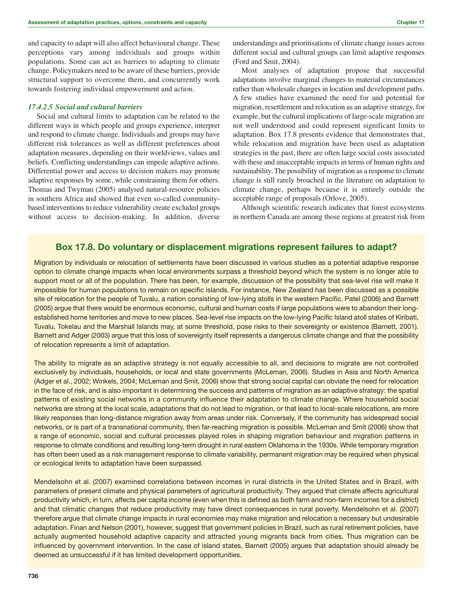and capacity to adapt will also affect behavioural change. These perceptions vary among individuals and groups within populations. Some can act as barriers to adapting to climate change. Policymakers need to be aware of these barriers, provide structural support to overcome them, and concurrently work towards fostering individual empowerment and action.

#### *17.4.2.5 Social and cultural barriers*

Social and cultural limits to adaptation can be related to the different ways in which people and groups experience, interpret and respond to climate change. Individuals and groups may have different risk tolerances as well as different preferences about adaptation measures, depending on their worldviews, values and beliefs. Conflicting understandings can impede adaptive actions. Differential power and access to decision makers may promote adaptive responses by some, while constraining them for others. Thomas and Twyman (2005) analysed natural-resource policies in southern Africa and showed that even so-called communitybased interventions to reduce vulnerability create excluded groups without access to decision-making. In addition, diverse understandings and prioritisations of climate change issues across different social and cultural groups can limit adaptive responses (Ford and Smit, 2004).

Most analyses of adaptation propose that successful adaptations involve marginal changes to material circumstances rather than wholesale changes in location and development paths. A few studies have examined the need for and potential for migration, resettlement and relocation as an adaptive strategy, for example, but the cultural implications of large-scale migration are not well understood and could represent significant limits to adaptation. Box 17.8 presents evidence that demonstrates that, while relocation and migration have been used as adaptation strategies in the past, there are often large social costs associated with these and unacceptable impacts in terms of human rights and sustainability. The possibility of migration as a response to climate change is still rarely broached in the literature on adaptation to climate change, perhaps because it is entirely outside the acceptable range of proposals (Orlove, 2005).

Although scientific research indicates that forest ecosystems in northern Canada are among those regions at greatest risk from

# **Box 17.8. Do voluntary or displacement migrations represent failures to adapt?**

Migration by individuals or relocation of settlements have been discussed in various studies as a potential adaptive response option to climate change impacts when local environments surpass a threshold beyond which the system is no longer able to support most or all of the population. There has been, for example, discussion of the possibility that sea-level rise will make it impossible for human populations to remain on specific islands. For instance, New Zealand has been discussed as a possible site of relocation for the people of Tuvalu, a nation consisting of low-lying atolls in the western Pacific. Patel (2006) and Barnett (2005) argue that there would be enormous economic, cultural and human costs if large populations were to abandon their longestablished home territories and move to new places. Sea-level rise impacts on the low-lying Pacific Island atoll states of Kiribati, Tuvalu, Tokelau and the Marshall Islands may, at some threshold, pose risks to their sovereignty or existence (Barnett, 2001). Barnett and Adger (2003) argue that this loss of sovereignty itself represents a dangerous climate change and that the possibility of relocation represents a limit of adaptation.

The ability to migrate as an adaptive strategy is not equally accessible to all, and decisions to migrate are not controlled exclusively by individuals, households, or local and state governments (McLeman, 2006). Studies in Asia and North America (Adger et al., 2002; Winkels, 2004; McLeman and Smit, 2006) show that strong social capital can obviate the need for relocation in the face of risk, and is also important in determining the success and patterns of migration as an adaptive strategy: the spatial patterns of existing social networks in a community influence their adaptation to climate change. Where household social networks are strong at the local scale, adaptations that do not lead to migration, or that lead to local-scale relocations, are more likely responses than long-distance migration away from areas under risk. Conversely, if the community has widespread social networks, or is part of a transnational community, then far-reaching migration is possible. McLeman and Smit (2006) show that a range of economic, social and cultural processes played roles in shaping migration behaviour and migration patterns in response to climate conditions and resulting long-term drought in rural eastern Oklahoma in the 1930s. While temporary migration has often been used as a risk management response to climate variability, permanent migration may be required when physical or ecological limits to adaptation have been surpassed.

Mendelsohn et al. (2007) examined correlations between incomes in rural districts in the United States and in Brazil, with parameters of present climate and physical parameters of agricultural productivity. They argued that climate affects agricultural productivity which, in turn, affects per capita income (even when this is defined as both farm and non-farm incomes for a district) and that climatic changes that reduce productivity may have direct consequences in rural poverty. Mendelsohn et al. (2007) therefore argue that climate change impacts in rural economies may make migration and relocation a necessary but undesirable adaptation. Finan and Nelson (2001), however, suggest that government policies in Brazil, such as rural retirement policies, have actually augmented household adaptive capacity and attracted young migrants back from cities. Thus migration can be influenced by government intervention. In the case of island states, Barnett (2005) argues that adaptation should already be deemed as unsuccessful if it has limited development opportunities.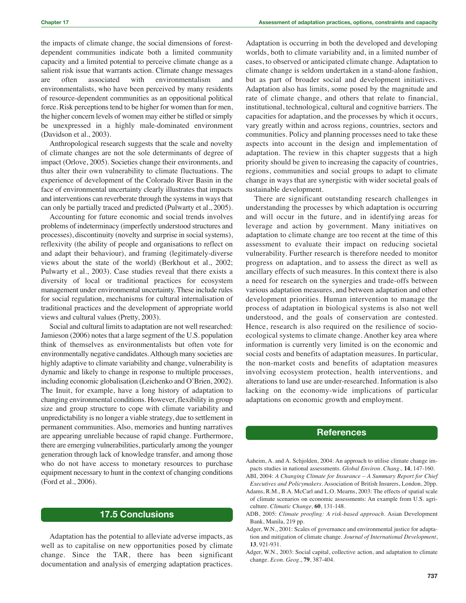the impacts of climate change, the social dimensions of forestdependent communities indicate both a limited community capacity and a limited potential to perceive climate change as a salient risk issue that warrants action. Climate change messages are often associated with environmentalism and environmentalists, who have been perceived by many residents of resource-dependent communities as an oppositional political force. Risk perceptions tend to be higher for women than for men, the higher concern levels of women may either be stifled or simply be unexpressed in a highly male-dominated environment (Davidson et al., 2003).

Anthropological research suggests that the scale and novelty of climate changes are not the sole determinants of degree of impact (Orlove, 2005). Societies change their environments, and thus alter their own vulnerability to climate fluctuations. The experience of development of the Colorado River Basin in the face of environmental uncertainty clearly illustrates that impacts and interventions can reverberate through the systems in ways that can only be partially traced and predicted (Pulwarty et al., 2005).

Accounting for future economic and social trends involves problems of indeterminacy (imperfectly understood structures and processes), discontinuity (novelty and surprise in social systems), reflexivity (the ability of people and organisations to reflect on and adapt their behaviour), and framing (legitimately-diverse views about the state of the world) (Berkhout et al., 2002; Pulwarty et al., 2003). Case studies reveal that there exists a diversity of local or traditional practices for ecosystem management under environmental uncertainty. These include rules for social regulation, mechanisms for cultural internalisation of traditional practices and the development of appropriate world views and cultural values (Pretty, 2003).

Social and cultural limits to adaptation are not well researched: Jamieson (2006) notes that a large segment of the U.S. population think of themselves as environmentalists but often vote for environmentally negative candidates. Although many societies are highly adaptive to climate variability and change, vulnerability is dynamic and likely to change in response to multiple processes, including economic globalisation (Leichenko and O'Brien, 2002). The Inuit, for example, have a long history of adaptation to changing environmental conditions. However, flexibility in group size and group structure to cope with climate variability and unpredictability is no longer a viable strategy, due to settlement in permanent communities. Also, memories and hunting narratives are appearing unreliable because of rapid change. Furthermore, there are emerging vulnerabilities, particularly among the younger generation through lack of knowledge transfer, and among those who do not have access to monetary resources to purchase equipment necessary to hunt in the context of changing conditions (Ford et al., 2006).

# **17.5 Conclusions**

Adaptation has the potential to alleviate adverse impacts, as well as to capitalise on new opportunities posed by climate change. Since the TAR, there has been significant documentation and analysis of emerging adaptation practices. Adaptation is occurring in both the developed and developing worlds, both to climate variability and, in a limited number of cases, to observed or anticipated climate change. Adaptation to climate change is seldom undertaken in a stand-alone fashion, but as part of broader social and development initiatives. Adaptation also has limits, some posed by the magnitude and rate of climate change, and others that relate to financial, institutional, technological, cultural and cognitive barriers. The capacities for adaptation, and the processes by which it occurs, vary greatly within and across regions, countries, sectors and communities. Policy and planning processes need to take these aspects into account in the design and implementation of adaptation. The review in this chapter suggests that a high priority should be given to increasing the capacity of countries, regions, communities and social groups to adapt to climate change in ways that are synergistic with wider societal goals of sustainable development.

There are significant outstanding research challenges in understanding the processes by which adaptation is occurring and will occur in the future, and in identifying areas for leverage and action by government. Many initiatives on adaptation to climate change are too recent at the time of this assessment to evaluate their impact on reducing societal vulnerability. Further research is therefore needed to monitor progress on adaptation, and to assess the direct as well as ancillary effects of such measures. In this context there is also a need for research on the synergies and trade-offs between various adaptation measures, and between adaptation and other development priorities. Human intervention to manage the process of adaptation in biological systems is also not well understood, and the goals of conservation are contested. Hence, research is also required on the resilience of socioecological systems to climate change. Another key area where information is currently very limited is on the economic and social costs and benefits of adaptation measures. In particular, the non-market costs and benefits of adaptation measures involving ecosystem protection, health interventions, and alterations to land use are under-researched. Information is also lacking on the economy-wide implications of particular adaptations on economic growth and employment.

#### **References**

- Aaheim, A. and A. Schjolden, 2004: An approach to utilise climate change impacts studies in national assessments. *Global Environ. Chang.,* **14**, 147-160.
- ABI, 2004: *A Changing Climate for Insurance A Summary Report for Chief Executives and Policymakers.* Association of British Insurers, London, 20pp.
- Adams, R.M., B.A. McCarl and L.O. Mearns, 2003: The effects of spatial scale of climate scenarios on economic assessments: An example from U.S. agriculture. *Climatic Change,* **60**, 131-148.
- ADB, 2005: *Climate proofing: A risk-based approach*. Asian Development Bank, Manila, 219 pp.
- Adger, W.N., 2001: Scales of governance and environmental justice for adaptation and mitigation of climate change. *Journal of International Development*, **13**, 921-931.
- Adger, W.N., 2003: Social capital, collective action, and adaptation to climate change. *Econ. Geog.*, **79**, 387-404.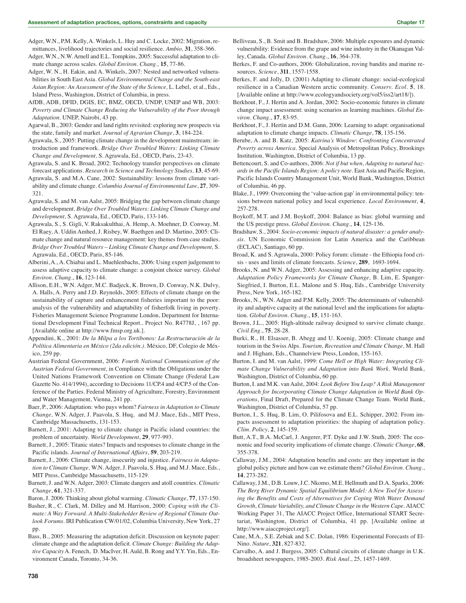Adger, W.N., P.M. Kelly, A. Winkels, L. Huy and C. Locke, 2002: Migration, remittances, livelihood trajectories and social resilience. *Ambio,* **31**, 358-366.

- Adger, W.N., N.W. Arnell and E.L. Tompkins, 2005: Successful adaptation to climate change across scales. *Global Environ. Chang.,* **15**, 77-86.
- Adger, W. N., H. Eakin, and A. Winkels, 2007: Nested and networked vulnerabilities in South East Asia. *Global Environmental Change and the South-east Asian Region: An Assessment of the State of the Science,* L. Lebel, et al., Eds., Island Press, Washington, District of Columbia, in press.
- AfDB, ADB, DFID, DGIS, EC, BMZ, OECD, UNDP, UNEP and WB, 2003: *Poverty and Climate Change Reducing the Vulnerability of the Poor through Adaptation.* UNEP, Nairobi, 43 pp.
- Agarwal, B., 2003: Gender and land rights revisited: exploring new prospects via the state, family and market. *Journal of Agrarian Change*, **3**, 184-224.
- Agrawala, S., 2005: Putting climate change in the development mainstream: introduction and framework. *Bridge Over Troubled Waters: Linking Climate Change and Development,* S. Agrawala, Ed., OECD, Paris, 23-43.
- Agrawala, S. and K. Broad, 2002: Technology transfer perspectives on climate forecast applications. *Research in Science and Technology Studies,* **13**, 45-69.
- Agrawala, S. and M.A. Cane, 2002: Sustainability: lessons from climate variability and climate change. *Columbia Journal of Environmental Law*, **27**, 309- 321.
- Agrawala, S. and M. van Aalst, 2005: Bridging the gap between climate change and development. *Bridge Over Troubled Waters: Linking Climate Change and Development,* S. Agrawala, Ed., OECD, Paris, 133-146.
- Agrawala, S., S. Gigli, V. Raksakulthai, A. Hemp, A. Moehner, D. Conway, M. El Raey, A. Uddin Amhed, J. Risbey, W. Baethgen and D. Martino, 2005: Climate change and natural resource management: key themes from case studies. *Bridge Over Troubled Waters – Linking Climate Change and Development,* S. Agrawala, Ed., OECD, Paris, 85-146.
- Alberini, A., A. Chiabai and L. Muehlenbachs, 2006: Using expert judgement to assess adaptive capacity to climate change: a conjoint choice survey. *Global Environ. Chang.*, **16**, 123-144.
- Allison, E.H., W.N. Adger, M.C. Badjeck, K. Brown, D. Conway, N.K. Dulvy, A. Halls, A. Perry and J.D. Reynolds, 2005: Effects of climate change on the sustainability of capture and enhancement fisheries important to the poor: analysis of the vulnerability and adaptability of fisherfolk living in poverty*.* Fisheries Management Science Programme London, Department for International Development Final Technical Report.. Project No. R4778J, , 167 pp. [Available online at http://www.fmsp.org.uk.].
- Appendini, K., 2001: *De la Milpa a los Tortibonos: La Restructuración de la Política Alimentaria en México (2da edición.)*. México, DF, Colegio de México, 259 pp.
- Austrian Federal Government, 2006: *Fourth National Communication of the Austrian Federal Government,* in Compliance with the Obligations under the United Nations Framework Convention on Climate Change (Federal Law Gazette No. 414/1994), according to Decisions 11/CP.4 and 4/CP.5 of the Conference of the Parties. Federal Ministry of Agriculture, Forestry, Environment and Water Management, Vienna, 241 pp.
- Baer, P., 2006: Adaptation: who pays whom? *Fairness in Adaptation to Climate Change,* W.N. Adger, J. Paavola, S. Huq, and M.J. Mace, Eds., MIT Press, Cambridge Massachusetts, 131-153.
- Barnett, J., 2001: Adapting to climate change in Pacific island countries: the problem of uncertainty. *World Development*, **29**, 977-993.
- Barnett, J., 2005: Titanic states? Impacts and responses to climate change in the Pacific islands. *Journal of International Affairs*, **59**, 203-219.
- Barnett, J., 2006: Climate change, insecurity and injustice. *Fairness in Adaptation to Climate Change,* W.N. Adger, J. Paavola, S. Huq, and M.J. Mace, Eds., MIT Press, Cambridge Massachusetts, 115-129.
- Barnett, J. and W.N. Adger, 2003: Climate dangers and atoll countries. *Climatic Change*, **61**, 321-337.
- Baron, J. 2006: Thinking about global warming. *Climatic Change*, **77**, 137-150. Basher, R., C. Clark, M. Dilley and M. Harrison, 2000: *Coping with the Cli-*
- *mate: A Way Forward. A Multi-Stakeholder Review of Regional Climate Outlook Forums*. IRI Publication CW/01/02, Columbia University, New York, 27 pp.
- Bass, B., 2005: Measuring the adaptation deficit. Discussion on keynote paper: climate change and the adaptation deficit. *Climate Change: Building the Adaptive Capacity* A. Fenech, D. MacIver, H. Auld, B. Rong and Y.Y. Yin, Eds., Environment Canada, Toronto, 34-36.
- Belliveau, S., B. Smit and B. Bradshaw, 2006: Multiple exposures and dynamic vulnerability: Evidence from the grape and wine industry in the Okanagan Valley, Canada. *Global Environ. Chang.*, **16**, 364-378.
- Berkes, F. and Co-authors, 2006: Globalization, roving bandits and marine resources. *Science*, **311**, 1557-1558.
- Berkes, F. and Jolly, D. (2001) Adapting to climate change: social-ecological resilience in a Canadian Western arctic community. *Conserv. Ecol.* **5**, 18. [Available online at http://www.ecologyandsociety.org/vol5/iss2/art18/]).
- Berkhout, F., J. Hertin and A. Jordan, 2002: Socio-economic futures in climate change impact assessment: using scenarios as learning machines. *Global Environ. Chang.*, **17**, 83-95.
- Berkhout, F., J. Hertin and D.M. Gann, 2006: Learning to adapt: organisational adaptation to climate change impacts. *Climatic Change*, **78**, 135-156.
- Berube, A. and B. Katz, 2005: *Katrina's Window*: *Confronting Concentrated Poverty across America*. Special Analysis of Metropolitan Policy, Brookings Institution. Washington, District of Columbia, 13 pp.
- Bettencourt, S. and Co-authors, 2006: *Not if but when, Adapting to natural hazards in the Pacific Islands Region: A policy note.* East Asia and Pacific Region, Pacific Islands Country Management Unit, World Bank, Washington, District of Columbia, 46 pp.
- Blake, J., 1999: Overcoming the 'value-action gap' in environmental policy: tensions between national policy and local experience. *Local Environment*, **4**, 257-278.
- Boykoff, M.T. and J.M. Boykoff, 2004: Balance as bias: global warming and the US prestige press. *Global Environ. Chang.*, **14**, 125-136.
- Bradshaw, S., 2004: *Socio-economic impacts of natural disaster: a gender analysis*. UN Economic Commission for Latin America and the Caribbean (ECLAC), Santiago, 60 pp.
- Broad, K. and S. Agrawala, 2000: Policy forum: climate the Ethiopia food crisis - uses and limits of climate forecasts. *Science*, **289**, 1693-1694.
- Brooks, N. and W.N. Adger, 2005: Assessing and enhancing adaptive capacity. *Adaptation Policy Frameworks for Climate Change,* B. Lim, E. Spanger-Siegfried, I. Burton, E.L. Malone and S. Huq, Eds., Cambridge University Press, New York, 165-182.
- Brooks, N., W.N. Adger and P.M. Kelly, 2005: The determinants of vulnerability and adaptive capacity at the national level and the implications for adaptation. *Global Environ. Chang.*, **15**, 151-163.
- Brown, J.L., 2005: High-altitude railway designed to survive climate change. *Civil Eng.*, **75**, 28-28.
- Burki, R., H. Elsasser, B. Abegg and U. Koenig, 2005: Climate change and tourism in the Swiss Alps. *Tourism, Recreation and Climate Change,* M. Hall and J. Higham, Eds., Channelview Press, London, 155-163.
- Burton, I. and M. van Aalst, 1999: *Come Hell or High Water: Integrating Climate Change Vulnerability and Adaptation into Bank Work*. World Bank, Washington, District of Columbia, 60 pp.
- Burton, I. and M.K. van Aalst, 2004: *Look Before You Leap? A Risk Management Approach for Incorporating Climate Change Adaptation in World Bank Operations,* Final Draft, Prepared for the Climate Change Team. World Bank, Washington, District of Columbia, 57 pp.
- Burton, I., S. Huq, B. Lim, O. Pilifosova and E.L. Schipper, 2002: From impacts assessment to adaptation priorities: the shaping of adaptation policy. *Clim. Policy*, **2**, 145-159.
- Butt, A.T., B.A. McCarl, J. Angerer, P.T. Dyke and J.W. Stuth, 2005: The economic and food security implications of climate change. *Climatic Change*, **68**, 355-378.
- Callaway, J.M., 2004: Adaptation benefits and costs: are they important in the global policy picture and how can we estimate them? *Global Environ. Chang.*, **14**, 273-282.
- Callaway, J.M., D.B. Louw, J.C. Nkomo, M.E. Hellmuth and D.A. Sparks, 2006: *The Berg River Dynamic Spatial Equilibrium Model: A New Tool for Assessing the Benefits and Costs of Alternatives for Coping With Water Demand Growth, Climate Variability, and Climate Change in the Western Cape*. AIACC Working Paper 31, The AIACC Project Office, International START Secretariat, Washington, District of Columbia, 41 pp. [Available online at http://www.aiaccproject.org/].
- Cane, M.A., S.E. Zebiak and S.C. Dolan, 1986: Experimental Forecasts of El-Nino. *Nature*, **321**, 827-832.
- Carvalho, A. and J. Burgess, 2005: Cultural circuits of climate change in U.K. broadsheet newspapers, 1985-2003. *Risk Anal.*, 25, 1457-1469.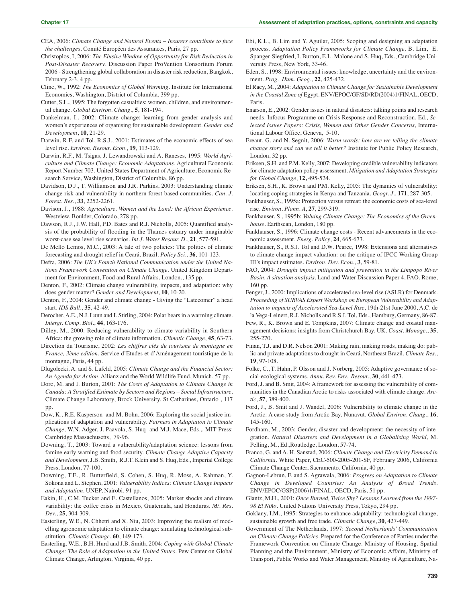- CEA, 2006: *Climate Change and Natural Events Insurers contribute to face the challenges*. Comité Européen des Assurances, Paris, 27 pp.
- Christoplos, I, 2006: *The Elusive Window of Opportunity for Risk Reduction in Post-Disaster Recovery*. Discussion Paper ProVention Consortium Forum 2006 - Strengthening global collaboration in disaster risk reduction, Bangkok, February 2-3, 4 pp.
- Cline, W., 1992: *The Economics of Global Warming*. Institute for International Economics, Washington, District of Columbia, 399 pp.
- Cutter, S.L., 1995: The forgotten casualties: women, children, and environmental change. *Global Environ. Chang.*, **5**, 181-194.
- Dankelman, I., 2002: Climate change: learning from gender analysis and women's experiences of organising for sustainable development. *Gender and Development*, **10**, 21-29.
- Darwin, R.F. and Tol, R.S.J., 2001: Estimates of the economic effects of sea level rise. *Environ. Resour. Econ.*, **19**, 113-129.
- Darwin, R.F., M. Tsigas, J. Lewandrowski and A. Raneses, 1995: *World Agriculture and Climate Change: Economic Adaptations*. Agricultural Economic Report Number 703, United States Department of Agriculture, Economic Research Service, Washington, District of Columbia, 86 pp.
- Davidson, D.J., T. Williamson and J.R. Parkins, 2003: Understanding climate change risk and vulnerability in northern forest-based communities. *Can. J. Forest. Res*., **33**, 2252-2261.
- Davison, J., 1988: *Agriculture, Women and the Land: the African Experience*. Westview, Boulder, Colorado, 278 pp.
- Dawson, R.J., J.W. Hall, P.D. Bates and R.J. Nicholls, 2005: Quantified analysis of the probability of flooding in the Thames estuary under imaginable worst-case sea level rise scenarios. *Int.J. Water Resour. D.*, **21**, 577-591.
- De Mello Lemos, M.C., 2003: A tale of two policies: The politics of climate forecasting and drought relief in Ceará, Brazil. *Policy Sci.*, **36**, 101-123.
- Defra, 2006: *The UK's Fourth National Communication under the United Nations Framework Convention on Climate Change*. United Kingdom Department for Environment, Food and Rural Affairs, London., 135 pp.
- Denton, F., 2002: Climate change vulnerability, impacts, and adaptation: why does gender matter? *Gender and Development*, **10**, 10-20.
- Denton, F., 2004: Gender and climate change Giving the "Latecomer" a head start. *IDS Bull.*, **35**, 42-49.
- Derocher, A.E., N.J. Lunn and I. Stirling, 2004: Polar bears in a warming climate. *Intergr. Comp. Biol.*, **44**, 163-176.
- Dilley, M., 2000: Reducing vulnerability to climate variability in Southern Africa: the growing role of climate information. *Climatic Change*, **45**, 63-73.
- Direction du Tourisme, 2002: *Les chiffres clés du tourisme de montagne en France, 3ème edition*. Service d'Etudes et d'Aménagement touristique de la montagne, Paris, 44 pp.
- Dlugolecki, A. and S. Lafeld, 2005: *Climate Change and the Financial Sector: An Agenda for Action*. Allianz and the World Wildlife Fund, Munich, 57 pp.
- Dore, M. and I. Burton, 2001: *The Costs of Adaptation to Climate Change in Canada: A Stratified Estimate by Sectors and Regions – Social Infrastructure*. Climate Change Laboratory, Brock University, St Catharines, Ontario , 117 pp.
- Dow, K., R.E. Kasperson and M. Bohn, 2006: Exploring the social justice implications of adaptation and vulnerability. *Fairness in Adaptation to Climate Change,* W.N. Adger, J. Paavola, S. Huq and M.J. Mace, Eds.,. MIT Press: Cambridge Massachusetts, 79-96.
- Downing, T., 2003: Toward a vulnerability/adaptation science: lessons from famine early warning and food security. *Climate Change Adaptive Capacity and Development,* J.B. Smith, R.J.T. Klein and S. Huq, Eds., Imperial College Press, London, 77-100.
- Downing, T.E., R. Butterfield, S. Cohen, S. Huq, R. Moss, A. Rahman, Y. Sokona and L. Stephen, 2001: *Vulnerability Indices: Climate Change Impacts and Adaptation*. UNEP, Nairobi, 91 pp.
- Eakin, H., C.M. Tucker and E. Castellanos, 2005: Market shocks and climate variability: the coffee crisis in Mexico, Guatemala, and Honduras. *Mt. Res. Dev.*, **25**, 304-309.
- Easterling, W.E., N. Chhetri and X. Niu, 2003: Improving the realism of modelling agronomic adaptation to climate change: simulating technological substitution. *Climatic Change*, **60**, 149-173.
- Easterling, W.E., B.H. Hurd and J.B. Smith, 2004: *Coping with Global Climate Change: The Role of Adaptation in the United States*. Pew Center on Global Climate Change, Arlington, Virginia, 40 pp.
- Ebi, K.L., B. Lim and Y. Aguilar, 2005: Scoping and designing an adaptation process. *Adaptation Policy Frameworks for Climate Change,* B. Lim, E. Spanger-Siegfried, I. Burton, E.L. Malone and S. Huq, Eds., Cambridge University Press, New York, 33-46.
- Eden, S., 1998: Environmental issues: knowledge, uncertainty and the environment. *Prog. Hum. Geog.*, **22**, 425-432.
- El Raey, M., 2004: *Adaptation to Climate Change for Sustainable Development in the Coastal Zone of* Egypt. ENV/EPOC/GF/SD/RD(2004)1/FINAL, OECD, Paris.
- Enarson, E., 2002: Gender issues in natural disasters: talking points and research needs. Infocus Programme on Crisis Response and Reconstruction, Ed., *Selected Issues Papers: Crisis, Women and Other Gender Concerns,* International Labour Office, Geneva, 5-10.
- Ereaut, G. and N. Segnit, 2006: *Warm words: how are we telling the climate change story and can we tell it better?* Institute for Public Policy Research, London, 32 pp.
- Eriksen, S.H. and P.M. Kelly, 2007: Developing credible vulnerability indicators for climate adaptation policy assessment. *Mitigation and Adaptation Strategies for Global Change*, **12,** 495-524.
- Eriksen, S.H., K. Brown and P.M. Kelly, 2005: The dynamics of vulnerability: locating coping strategies in Kenya and Tanzania. *Geogr. J.*, **171**, 287-305.
- Fankhauser, S., 1995a: Protection versus retreat: the economic costs of sea-level rise. *Environ. Plann. A*, **27**, 299-319.
- Fankhauser, S., 1995b: *Valuing Climate Change: The Economics of the Greenhouse*. Earthscan, London, 180 pp.
- Fankhauser, S., 1996: Climate change costs Recent advancements in the economic assessment. *Energ. Policy*, **24**, 665-673.
- Fankhauser, S., R.S.J. Tol and D.W. Pearce, 1998: Extensions and alternatives to climate change impact valuation: on the critique of IPCC Working Group III's impact estimates. *Environ. Dev. Econ.*, **3**, 59-81.
- FAO, 2004: *Drought impact mitigation and prevention in the Limpopo River Basin, A situation analysis*. Land and Water Discussion Paper 4, FAO, Rome, 160 pp.
- Fenger, J., 2000: Implications of accelerated sea-level rise (ASLR) for Denmark. *Proceeding of SURVAS Expert Workshop on European Vulnerability and Adaptation to impacts of Accelerated Sea-Level Rise*, 19th-21st June 2000, A.C. de la Vega-Leinert, R.J. Nicholls and R.S.J. Tol, Eds., Hamburg, Germany, 86-87.
- Few, R., K. Brown and E. Tompkins, 2007: Climate change and coastal management decisions: insights from Christchurch Bay, UK. *Coast. Manage.*, **35**, 255-270.
- Finan, T.J. and D.R. Nelson 2001: Making rain, making roads, making do: public and private adaptations to drought in Ceará, Northeast Brazil. *Climate Res.*, **19**, 97-108.
- Folke, C., T. Hahn, P. Olsson and J. Norberg, 2005: Adaptive governance of social-ecological systems. *Annu. Rev. Env.. Resour.*, **30**, 441-473.
- Ford, J. and B. Smit, 2004: A framework for assessing the vulnerability of communities in the Canadian Arctic to risks associated with climate change. *Arctic*, **57**, 389-400.
- Ford, J., B. Smit and J. Wandel, 2006: Vulnerability to climate change in the Arctic: A case study from Arctic Bay, Nunavut. *Global Environ. Chang.*, **16**, 145-160.
- Fordham, M., 2003: Gender, disaster and development: the necessity of integration. *Natural Disasters and Development in a Globalising World,* M. Pelling, M., Ed.,Routledge, London, 57-74.
- Franco, G. and A. H. Sanstad, 2006: *Climate Change and Electricity Demand in California*. White Paper, CEC-500-2005-201-SF, February 2006, California Climate Change Center, Sacramento, California, 40 pp.
- Gagnon-Lebrun, F. and S. Agrawala, 2006: *Progress on Adaptation to Climate Change in Developed Countries: An Analysis of Broad Trends*. ENV/EPOC/GSP(2006)1/FINAL, OECD, Paris, 51 pp.
- Glantz, M.H., 2001: *Once Burned, Twice Shy? Lessons Learned from the 1997- 98 El Niño*. United Nations University Press, Tokyo, 294 pp.
- Goklany, I.M., 1995: Strategies to enhance adaptability: technological change, sustainable growth and free trade. *Climatic Change*, **30**, 427-449.
- Government of The Netherlands, 1997: *Second Netherlands' Communication on Climate Change Policies*. Prepared for the Conference of Parties under the Framework Convention on Climate Change. Ministry of Housing, Spatial Planning and the Environment, Ministry of Economic Affairs, Ministry of Transport, Public Works and Water Management, Ministry of Agriculture, Na-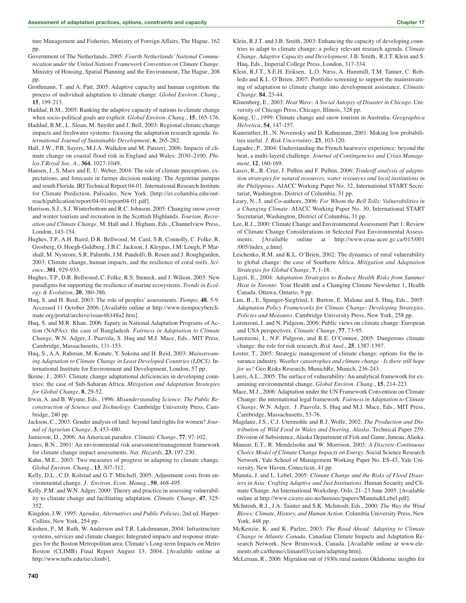ture Management and Fisheries, Ministry of Foreign Affairs, The Hague, 162 pp.

- Government of The Netherlands, 2005: *Fourth Netherlands' National Communication under the United Nations Framework Convention on Climate Change.* Ministry of Housing, Spatial Planning and the Environment, The Hague, 208 pp.
- Grothmann, T. and A. Patt, 2005: Adaptive capacity and human cognition: the process of individual adaptation to climate change. *Global Environ. Chang.*, **15**, 199-213.
- Haddad, B.M., 2005: Ranking the adaptive capacity of nations to climate change when socio-political goals are explicit. *Global Environ. Chang.*, **15**, 165-176.
- Haddad, B.M., L. Sloan, M. Snyder and J. Bell, 2003: Regional climate change impacts and freshwater systems: focusing the adaptation research agenda. *International Journal of Sustainable Development*, **6**, 265-282.
- Hall, J.W., P.B. Sayers, M.J.A. Walkden and M. Panzeri, 2006: Impacts of climate change on coastal flood risk in England and Wales: 2030–2100. *Philos.T.Royal Soc. A.*, **364**, 1027-1049.
- Hansen, J., S. Marx and E. U. Weber, 2004: The role of climate perceptions, expectations, and forecasts in farmer decision making: The Argentine pampas and south Florida. IRI Technical Report 04-01. International Research Institute for Climate Prediction, Palisades, New York. [http://iri.columbia.edu/outreach/publication/report/04-01/report04-01.pdf].
- Harrison, S.J., S.J. Winterbottom and R.C. Johnson, 2005: Changing snow cover and winter tourism and recreation in the Scottish Highlands. *Tourism, Recreation and Climate Change,* M. Hall and J. Higham, Eds., Channelview Press, London, 143-154.
- Hughes, T.P., A.H. Baird, D.R. Bellwood, M. Card, S.R. Connolly, C. Folke, R. Grosberg, O. Hoegh-Guldberg, J.B.C. Jackson, J. Kleypas, J.M. Lough, P. Marshall, M. Nystrom, S.R. Palumbi, J.M. Pandolfi, B. Rosen and J. Roughgarden, 2003: Climate change, human impacts, and the resilience of coral reefs. *Science*, **301**, 929-933.
- Hughes, T.P., D.R. Bellwood, C. Folke, R.S. Steneck, and J. Wilson, 2005: New paradigms for supporting the resilience of marine ecosystems. *Trends in Ecology & Evolution*, **20**, 380-386.
- Huq, S. and H. Reid, 2003: The role of peoples' assessments. *Tiempo*, **48**, 5-9. Accessed 11 October 2006. [Available online at http://www.tiempocyberclimate.org/portal/archive/issue48/t48a2.htm].
- Huq, S. and M.R. Khan, 2006: Equity in National Adaptation Programs of Action (NAPAs): the case of Bangladesh. *Fairness in Adaptation to Climate Change,* W.N. Adger, J. Paavola, S. Huq and M.J. Mace, Eds., MIT Press, Cambridge, Massachusetts, 131-153.
- Huq, S., A.A. Rahman, M. Konate, Y. Sokona and H. Reid, 2003: *Mainstreaming Adaptation to Climate Change in Least Developed Countries (LDCS)*. International Institute for Environment and Development, London, 57 pp.
- Ikeme, J., 2003: Climate change adaptational deficiencies in developing countries: the case of Sub-Saharan Africa. *Mitigation and Adaptation Strategies for Global Change*, **8**, 29-52.
- Irwin, A. and B. Wynne, Eds., 1996: *Misunderstanding Science: The Public Reconstruction of Science and Technology*. Cambridge University Press, Cambridge, 240 pp.
- Jackson, C., 2003: Gender analysis of land: beyond land rights for women? *Journal of Agrarian Change*, **3**, 453-480.
- Jamieson, D., 2006: An American paradox. *Climatic Change*, **77**, 97-102.
- Jones, R.N., 2001: An environmental risk assessment/management framework for climate change impact assessments. *Nat. Hazards*, **23**, 197-230.
- Kahn, M.E., 2003: Two measures of progress in adapting to climate change. *Global Environ. Chang.*, **13**, 307-312.
- Kelly, D.L., C.D. Kolstad and G.T. Mitchell, 2005: Adjustment costs from environmental change. *J. Environ. Econ. Manag.*, **50**, 468-495.
- Kelly, P.M. and W.N. Adger, 2000: Theory and practice in assessing vulnerability to climate change and facilitating adaptation. *Climatic Change*, **47**, 325- 352.
- Kingdon, J.W. 1995: *Agendas, Alternatives and Public Policies,* 2nd ed. Harper-Collins, New York, 254 pp.
- Kirshen, P., M. Ruth, W. Anderson and T.R. Lakshmanan, 2004: Infrastructure systems, services and climate changes: Integrated impacts and response strategies for the Boston Metropolitan area. Climate's Long-term Impacts on Metro Boston (CLIMB) Final Report August 13, 2004. [Available online at http://www.tufts.edu/tie/climb/].
- Klein, R.J.T. and J.B. Smith, 2003: Enhancing the capacity of developing countries to adapt to climate change: a policy relevant research agenda. *Climate Change, Adaptive Capacity and Development,* J.B. Smith, R.J.T. Klein and S. Huq, Eds., Imperial College Press, London, 317-334.
- Klein, R.J.T., S.E.H. Eriksen, L.O. Næss, A. Hammill, T.M. Tanner, C. Robledo and K.L. O'Brien, 2007: Portfolio screening to support the mainstreaming of adaptation to climate change into development assistance. *Climatic Change*, **84**, 23-44.
- Klinenberg, E., 2003: *Heat Wave: A Social Autopsy of Disaster in Chicago*. University of Chicago Press, Chicago, Illinois, 328 pp.
- Konig, U., 1999: Climate change and snow tourism in Australia. *Geographica Helvetica*, **54**, 147-157.
- Kunreuther, H., N. Novemsky and D. Kahneman, 2001: Making low probabilities useful. *J. Risk Uncertainty*, **23**, 103-120.
- Lagadec, P., 2004: Understanding the French heatwave experience: beyond the heat, a multi-layerd challenge. *Journal of Contingencies and Crisis Management*, **12**, 160-169.
- Lasco, R., R. Cruz, J. Pulhin and F. Pulhin, 2006: *Tradeoff analysis of adaptation strategies for natural resources, water resources and local institutions in the Philippines*. AIACC Working Paper No. 32, International START Secretariat, Washington, District of Columbia, 31 pp.
- Leary, N., J. and Co-authors, 2006: *For Whom the Bell Tolls: Vulnerabilities in a Changing Climate*. AIACC Working Paper No. 30, International START Secretariat, Washington, District of Columbia, 31 pp.
- Lee, R.J., 2000: Climate Change and Environmental Assessment Part 1: Review of Climate Change Considerations in Selected Past Environmental Assessments. [Available online at http://www.ceaa-acee.gc.ca/015/001 /005/index\_e.htm].
- Leichenko, R.M. and K.L. O'Brien, 2002: The dynamics of rural vulnerability to global change: the case of Southern Africa. *Mitigation and Adaptation Strategies for Global Change*, **7**, 1-18.
- Ligeti, E., 2004: *Adaptation Strategies to Reduce Health Risks from Summer Heat in Toronto*. Your Health and a Changing Climate Newsletter 1, Health Canada, Ottawa, Ontario, 9 pp.
- Lim, B., E. Spanger-Siegfried, I. Burton, E. Malone and S. Huq, Eds., 2005: *Adaptation Policy Frameworks for Climate Change: Developing Strategies, Policies and Measures*. Cambridge University Press, New York, 258 pp.
- Lorenzoni, I. and N. Pidgeon, 2006: Public views on climate change: European and USA perspectives. *Climatic Change*, **77**, 73-95.
- Lorenzoni, I., N.F. Pidgeon, and R.E. O'Connor, 2005: Dangerous climate change: the role for risk research. *Risk Anal.*, **25**, 1387-1397.
- Loster, T., 2005: Strategic management of climate change: options for the insurance industry. *Weather catastrophes and climate change - Is there still hope* for us? Geo Risks Research, MunichRe, Munich, 236-243.
- Luers, A.L., 2005: The surface of vulnerability: An analytical framework for examining environmental change. *Global Environ. Chang.*, **15**, 214-223.
- Mace, M.J., 2006: Adaptation under the UN Framework Convention on Climate Change: the international legal framework. *Fairness in Adaptation to Climate Change,* W.N. Adger, J. Paavola, S. Huq and M.J. Mace, Eds., MIT Press, Cambridge, Massachusetts, 53-76.
- Magdanz, J.S., C.J. Utermohle and R.J. Wolfe, 2002: *The Production and Distribution of Wild Food in Wales and Deering, Alaska*. Technical Paper 259. Division of Subsistence, Alaska Department of Fish and Game, Juneau, Alaska.
- Mansur, E.T., R. Mendelsohn and W. Morrison, 2005: *A Discrete-Continuous Choice Model of Climate Change Impacts on Energy*. Social Science Research Network, Yale School of Management Working Paper No. ES-43, Yale University, New Haven, Conecticut, 41 pp.
- Manuta, J. and L. Lebel, 2005: *Climate Change and the Risks of Flood Disasters in Asia: Crafting Adaptive and Just Institutions*. Human Security and Climate Change. An International Workshop, Oslo, 21–23 June 2005. [Available online at http://www.cicero.uio.no/humsec/papers/Manuta&Lebel.pdf].
- McIntosh, R.J., J.A. Tainter and S.K. McIntosh, Eds., 2000: *The Way the Wind Blows: Climate, History, and Human Action*. Columbia University Press, New York, 448 pp.
- McKenzie, K. and K. Parlee, 2003: *The Road Ahead: Adapting to Climate Change in Atlantic Canada*. Canadian Climate Impacts and Adaptation Research Network, New Brunswick, Canada. [Available online at www.elements.nb.ca/theme/climate03/cciarn/adapting.htm].
- McLeman, R., 2006: Migration out of 1930s rural eastern Oklahoma: insights for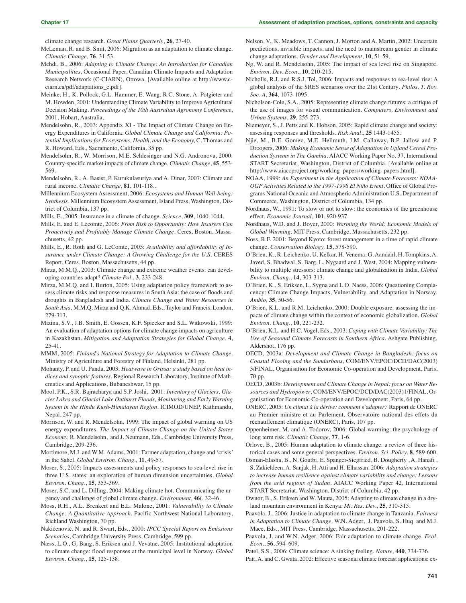climate change research. *Great Plains Quarterly*, **26**, 27-40.

- McLeman, R. and B. Smit, 2006: Migration as an adaptation to climate change. *Climatic Change*, **76**, 31-53.
- Mehdi, B., 2006: *Adapting to Climate Change: An Introduction for Canadian Municipalities*, Occasional Paper, Canadian Climate Impacts and Adaptation Research Network (C-CIARN), Ottowa. [Available online at http://www.cciarn.ca/pdf/adaptations\_e.pdf].
- Meinke, H., K. Pollock, G.L. Hammer, E. Wang, R.C. Stone, A. Potgieter and M. Howden, 2001: Understanding Climate Variability to Improve Agricultural Decision Making. *Proceedings of the 10th Australian Agronomy Conference*, 2001, Hobart, Australia.
- Mendelsohn, R., 2003: Appendix XI The Impact of Climate Change on Energy Expenditures in California. *Global Climate Change and California: Potential Implications for Ecosystems, Health, and the Economy,* C. Thomas and R. Howard, Eds., Sacramento, California, 35 pp.
- Mendelsohn, R., W. Morrison, M.E. Schlesinger and N.G. Andronova, 2000: Country-specific market impacts of climate change. *Climatic Change*, **45**, 553- 569.
- Mendelsohn, R., A. Basist, P. Kurukulasuriya and A. Dinar, 2007: Climate and rural income. *Climatic Change*, **81**, 101-118..
- Millennium Ecosystem Assessment, 2006: *Ecosystems and Human Well-being: Synthesis*. Millennium Ecosystem Assessment, Island Press, Washington, District of Columbia, 137 pp.
- Mills, E., 2005: Insurance in a climate of change. *Science*, **309**, 1040-1044.
- Mills, E. and E. Lecomte, 2006: *From Risk to Opportunity: How Insurers Can Proactively and Profitably Manage Climate Change*. Ceres, Boston, Massachusetts, 42 pp.
- Mills, E., R. Roth and G. LeComte, 2005: *Availability and affordability of Insurance under Climate Change: A Growing Challenge for the U.S.* CERES Report, Ceres, Boston, Massachusetts, 44 pp.
- Mirza, M.M.Q., 2003: Climate change and extreme weather events: can developing countries adapt? *Climate Pol.*, **3**, 233-248.
- Mirza, M.M.Q. and I. Burton, 2005: Using adaptation policy framework to assess climate risks and response measures in South Asia: the case of floods and droughts in Bangladesh and India. *Climate Change and Water Resources in South Asia,* M.M.Q. Mirza and Q.K. Ahmad, Eds., Taylor and Francis, London, 279-313.
- Mizina, S.V., J.B. Smith, E. Gossen, K.F. Spiecker and S.L. Witkowski, 1999: An evaluation of adaptation options for climate change impacts on agriculture in Kazakhstan. *Mitigation and Adaptation Strategies for Global Change*, **4**, 25-41.
- MMM, 2005: *Finland's National Strategy for Adaptation to Climate Change*. Ministry of Agriculture and Forestry of Finland, Helsinki, 281 pp.
- Mohanty, P. and U. Panda, 2003: *Heatwave in Orissa: a study based on heat indices and synoptic features*. Regional Research Laboratory, Institute of Mathematics and Applications, Bubaneshwar, 15 pp.
- Mool, P.K., S.R. Bajracharya and S.P. Joshi, 2001: *Inventory of Glaciers, Glacier Lakes and Glacial Lake Outburst Floods, Monitoring and Early Warning System in the Hindu Kush-Himalayan Region*. ICIMOD/UNEP, Kathmandu, Nepal, 247 pp.
- Morrison, W. and R. Mendelsohn, 1999: The impact of global warming on US energy expenditures. *The Impact of Climate Change on the United States Economy,* R. Mendelsohn, and J. Neumann, Eds., Cambridge University Press, Cambridge, 209-236.
- Mortimore, M.J. and W.M. Adams, 2001: Farmer adaptation, change and 'crisis' in the Sahel. *Global Environ. Chang.*, **11**, 49-57.
- Moser, S., 2005: Impacts assessments and policy responses to sea-level rise in three U.S. states: an exploration of human dimension uncertainties. *Global Environ. Chang.*, **15**, 353-369.
- Moser, S.C. and L. Dilling, 2004: Making climate hot. Communicating the urgency and challenge of global climate change. *Environment*, **46**(, 32-46.
- Moss, R.H., A.L. Brenkert and E.L. Malone, 2001: *Vulnerability to Climate Change: A Quantitative Approach*. Pacific Northwest National Laboratory, Richland Washington, 70 pp.
- Nakićenović, N. and R. Swart, Eds., 2000: *IPCC Special Report on Emissions Scenarios*, Cambridge University Press, Cambridge, 599 pp.
- Næss, L.O., G. Bang, S. Eriksen and J. Vevatne, 2005: Institutional adaptation to climate change: flood responses at the municipal level in Norway. *Global Environ. Chang.*, **15**, 125-138.
- Nelson, V., K. Meadows, T. Cannon, J. Morton and A. Martin, 2002: Uncertain predictions, invisible impacts, and the need to mainstream gender in climate change adaptations. *Gender and Development*, **10**, 51-59.
- Ng, W. and R. Mendelsohn, 2005: The impact of sea level rise on Singapore. *Environ. Dev. Econ.*, **10**, 210-215.
- Nicholls, R.J. and R.S.J. Tol, 2006: Impacts and responses to sea-level rise: A global analysis of the SRES scenarios over the 21st Century*. Philos. T. Roy. Soc. A*, **364**, 1073-1095.
- Nicholson-Cole, S.A., 2005: Representing climate change futures: a critique of the use of images for visual communication. *Computers, Environment and Urban Systems*, **29**, 255-273.
- Niemeyer, S., J. Petts and K. Hobson, 2005: Rapid climate change and society: assessing responses and thresholds. *Risk Anal.*, **25** 1443-1455.
- Njie, M., B.E. Gomez, M.E. Hellmuth, J.M. Callaway, B.P. Jallow and P. Droogers, 2006: *Making Economic Sense of Adaptation in Upland Cereal Production Systems in The Gambia*. AIACC Working Paper No. 37, International START Secretariat, Washington, District of Columbia. [Available online at http://www.aiaccproject.org/working\_papers/working\_papers.html].
- NOAA, 1999: *An Experiment in the Application of Climate Forecasts: NOAA-OGP Activities Related to the 1997-1998 El Niño Event*. Office of Global Programs National Oceanic and Atmospheric Administration U.S. Department of Commerce, Washington, District of Columbia, 134 pp.
- Nordhaus, W., 1991: To slow or not to slow: the economics of the greenhouse effect. *Economic Journal*, **101**, 920-937.
- Nordhaus, W.D. and J. Boyer, 2000: *Warming the World: Economic Models of Global Warming*. MIT Press, Cambridge, Massachusetts, 232 pp.
- Noss, R.F. 2001: Beyond Kyoto: forest management in a time of rapid climate change. *Conservation Biology,* **15**, 578-590.
- O'Brien, K., R. Leichenko, U. Kelkar, H. Venema, G. Aandahl, H. Tompkins, A. Javed, S. Bhadwal, S. Barg, L. Nygaard and J. West, 2004: Mapping vulnerability to multiple stressors: climate change and globalization in India. *Global Environ. Chang.*, **14**, 303-313.
- O'Brien, K., S. Eriksen, L. Sygna and L.O. Naess, 2006: Questioning Complacency: Climate Change Impacts, Vulnerability, and Adaptation in Norway. *Ambio,* **35**, 50-56.
- O'Brien, K.L. and R.M. Leichenko, 2000: Double exposure: assessing the impacts of climate change within the context of economic globalization. *Global Environ. Chang.*, **10**, 221-232.
- O'Brien, K.L. and H.C. Vogel, Eds., 2003: *Coping with Climate Variability: The Use of Seasonal Climate Forecasts in Southern Africa*. Ashgate Publishing, Aldershot, 176 pp.
- OECD, 2003a: *Development and Climate Change in Bangladesh: focus on Coastal Flooing and the Sundarbans*, COM/ENV/EPOC/DCD/DAC(2003) 3/FINAL, Organisation for Economic Co-operation and Development, Paris, 70 pp.
- OECD, 2003b: *Development and Climate Change in Nepal: focus on Water Resources and Hydropower*, COM/ENV/EPOC/DCD/DAC(2003)1/FINAL, Organisation for Economic Co-operation and Development, Paris, 64 pp.
- ONERC, 2005: *Un climat à la dérive: comment* s'a*dapter?* Rapport de ONERC au Premier ministre et au Parlement, Observatoire national des effets du réchauffement climatique (ONERC), Paris, 107 pp.
- Oppenheimer, M. and A. Todorov, 2006: Global warming: the psychology of long term risk. *Climatic Change*, **77**, 1-6.
- Orlove, B., 2005: Human adaptation to climate change: a review of three historical cases and some general perspectives. *Environ. Sci. Policy*, **8**, 589-600.
- Osman-Elasha, B., N. Goutbi, E. Spanger-Siegfried, B. Dougherty , A. Hanafi , S. Zakieldeen, A. Sanjak, H. Atti and H. Elhassan. 2006: *Adaptation strategies to increase human resilience against climate variability and change: Lessons from the arid regions of Sudan*. AIACC Working Paper 42, International START Secretariat, Washington, District of Columbia, 42 pp.
- Owuor, B., S. Eriksen and W. Mauta*,* 2005: Adapting to climate change in a dryland mountain environment in Kenya. *Mt. Res. Dev.*, **25**, 310-315.
- Paavola, J., 2006: Justice in adaptation to climate change in Tanzania. *Fairness in Adaptation to Climate Change,* W.N. Adger, J. Paavola, S. Huq and M.J. Mace, Eds., MIT Press, Cambridge, Massachusetts, 201-222.
- Paavola, J. and W.N. Adger, 2006: Fair adaptation to climate change. *Ecol. Econ.*, **56**, 594–609.

Patel, S.S., 2006: Climate science: A sinking feeling. *Nature,* **440**, 734-736.

Patt, A. and C. Gwata, 2002: Effective seasonal climate forecast applications: ex-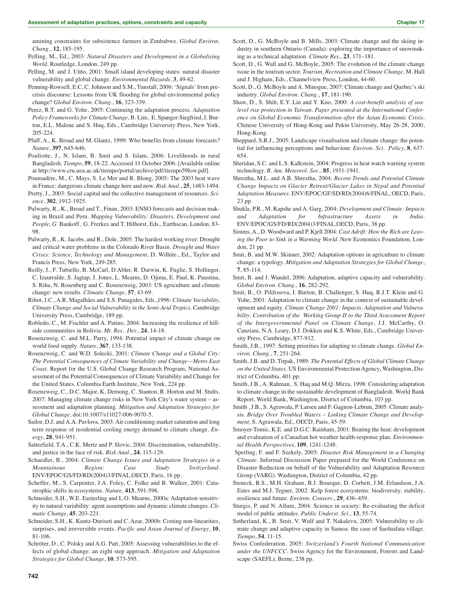amining constraints for subsistence farmers in Zimbabwe. *Global Environ. Chang.*, **12**, 185-195.

Pelling, M., Ed., 2003: *Natural Disasters and Development in a Globalising World*. Routledge, London, 249 pp.

- Pelling, M. and J. Uitto, 2001: Small island developing states: natural disaster vulnerability and global change. *Environmental Hazards*, **3**, 49-62.
- Penning-Rowsell, E.C, C. Johnson and S.M., Tunstall, 2006: 'Signals' from precrisis discourse: Lessons from UK flooding for global environmental policy change? *Global Environ. Chang.*, **16**, 323-339.
- Perez, R.T. and G. Yohe, 2005: Continuing the adaptation process. *Adaptation Policy Frameworks for Climate Change,* B. Lim, E. Spanger-Siegfried, I. Burton, E.L. Malone and S. Huq, Eds., Cambridge University Press, New York, 205-224.
- Pfaff, A., K. Broad and M. Glantz, 1999: Who benefits from climate forecasts? *Nature*, **397**, 645-646.
- Pouliotte, J., N. Islam, B. Smit and S. Islam, 2006: Livelihoods in rural Bangladesh. *Tiempo*, **59**, 18-22. Accessed 11 October 2006. [Available online at http://www.cru.uea.ac.uk/tiempo/portal/archive/pdf/tiempo59low.pdf].
- Poumadère, M., C. Mays, S. Le Mer and R. Blong, 2005: The 2003 heat wave in France: dangerous climate change here and now. *Risk Anal.*, **25**, 1483-1494.
- Pretty, J., 2003: Social capital and the collective management of resources. *Science*, **302**, 1912-1925.
- Pulwarty, R., K., Broad and T., Finan, 2003: ENSO forecasts and decision making in Brazil and Peru. *Mapping Vulnerability: Disasters, Development and People, G* Bankoff, G. Frerkes and T. Hilhorst, Eds., Earthscan, London, 83- 98.
- Pulwarty, R., K. Jacobs, and R., Dole, 2005: The hardest working river: Drought and critical water problems in the Colorado River Basin. *Drought and Water Crises: Science, Technology and Management,* D. Wilhite., Ed., Taylor and Francis Press, New York, 249-285.
- Reilly, J., F. Tubiello, B. McCarl, D.Abler, R. Darwin, K. Fuglie, S. Hollinger, C. Izaurralde, S. Jagtap, J. Jones, L. Mearns, D. Ojima, E. Paul, K. Paustina, S. Riha, N. Rosenberg and C. Rosenzweig, 2003: US agriculture and climate change: new results. *Climatic Change*, **57**, 43-69.
- Ribot, J.C., A.R. Magalhães and S.S. Panagides, Eds.,1996: *Climate Variability, Climate Change and Social Vulnerability in the Semi-Arid Tropics*. Cambridge University Press, Cambridge, 189 pp.
- Robledo, C., M. Fischler and A. Patino, 2004: Increasing the resilience of hillside communities in Bolivia. *Mt. Res. Dev.*, **24**, 14-18.
- Rosenzweig, C. and M.L. Parry, 1994: Potential impact of climate change on world food supply. *Nature*, **367**, 133-138.
- Rosenzweig, C. and W.D. Solecki, 2001: *Climate Change and a Global City: The Potential Consequences of Climate Variability and Change—Metro East Coast*. Report for the U.S. Global Change Research Program, National Assessment of the Potential Consequences of Climate Variability and Change for the United States. Columbia Earth Institute, New York, 224 pp.
- Rosenzweig, C., D.C. Major, K. Demong, C. Stanton, R. Horton and M. Stults, 2007: Managing climate change risks in New York City's water system – assessment and adaptation planning. *Mitigation and Adaptation Strategies for Global Change*, doi:10.1007/s11027-006-9070-5.
- Sailor, D.J. and A.A. Pavlova, 2003: Air conditioning market saturation and long term response of residential cooling energy demand to climate change. *Energy*, **28**, 941-951.
- Satterfield, T.A., C.K. Mertz and P. Slovic, 2004: Discrimination, vulnerability, and justice in the face of risk. *Risk Anal.*, **24**, 115-129.
- Schaedler, B., 2004: *Climate Change Issues and Adaptation Strategies in a Mountainous Region: Case Study Switzerland*. ENV/EPOC/GS/FD/RD(2004)3/FINAL,OECD, Paris, 16 pp.
- Scheffer, M., S. Carpenter, J.A. Foley, C. Folke and B. Walker, 2001: Catastrophic shifts in ecosystems. *Nature*, **413**, 591-596.
- Schneider, S.H., W.E. Easterling and L.O. Mearns, 2000a: Adaptation sensitivity to natural variability: agent assumptions and dynamic climate changes. *Climatic Change*, **45**, 203-221.
- Schneider, S.H., K. Kuntz-Duriseti and C. Azar, 2000b: Costing non-linearities, surprises, and irreversible events. *Pacific and Asian Journal of Energy*, **10**, 81-106.
- Schröter, D., C. Polsky and A.G. Patt, 2005: Assessing vulnerabilities to the effects of global change: an eight step approach. *Mitigation and Adaptation Strategies for Global Change*, **10**, 573-595.
- Scott, D., G. McBoyle and B. Mills, 2003: Climate change and the skiing industry in southern Ontario (Canada): exploring the importance of snowmaking as a technical adaptation. *Climate Res.,* **23**, 171–181.
- Scott, D., G. Wall and G. McBoyle, 2005: The evolution of the climate change issue in the tourism sector. *Tourism, Recreation and Climate Change,* M. Hall and J. Higham, Eds., Channelview Press, London, 44-60.
- Scott, D., G. McBoyle and A. Minogue, 2007: Climate change and Quebec's ski industry. *Global Environ. Chang.*, **17**, 181-190.
- Shaw, D., S. Shih, E.Y. Lin and Y. Kuo, 2000: *A cost-benefit analysis of sealevel rise protection in Taiwan. Paper presented at the International Conference on Global Economic Transformation after the Asian Economic Crisis*. Chinese University of Hong-Kong and Pekin University, May 26-28, 2000, Hong-Kong.
- Sheppard, S.R.J., 2005: Landscape visualisation and climate change: the potential for influencing perceptions and behaviour. *Environ. Sci. Policy*, **8**, 637- 654.
- Sheridan, S.C. and L.S. Kalkstein, 2004: Progress in heat watch warning system technology. *B. Am. Meteorol. Soc.*, **85**, 1931-1941.
- Shrestha, M.L. and A.B. Shrestha, 2004: *Recent Trends and Potential Climate Change Impacts on Glacier Retreat/Glacier Lakes in Nepal and Potential Adaptation Measures*. ENV/EPOC/GF/SD/RD(2004)6/FINAL, OECD, Paris, 23 pp.
- Shukla, P.R., M. Kapshe and A. Garg, 2004: *Development and Climate: Impacts and Adaptation for Infrastructure Assets in India*. ENV/EPOC/GS/FD/RD(2004)3/FINAL,OECD, Paris, 38 pp.
- Simms, A., D. Woodward and P. Kjell 2004: *Cast Adrift: How the Rich are Leaving the Poor to Sink in a Warming World.* New Economics Foundation, London, 21 pp.
- Smit, B. and M.W. Skinner, 2002: Adaptation options in agriculture to climate change: a typology. *Mitigation and Adaptation Strategies for Global Change*, **7**, 85-114.
- Smit, B. and J. Wandel, 2006: Adaptation, adaptive capacity and vulnerability. *Global Environ. Chang.*, **16**, 282-292.
- Smit, B., O. Pilifosova, I. Burton, B. Challenger, S. Huq, R.J.T. Klein and G. Yohe, 2001: Adaptation to climate change in the context of sustainable development and equity. *Climate Change 2001: Impacts, Adaptation and Vulnerability*. *Contribution of the Working Group II to the Third Assessment Report of the Intergovernmental Panel on Climate Change,* J.J. McCarthy, O. Canziani, N.A. Leary, D.J. Dokken and K.S. White, Eds., Cambridge University Press, Cambridge, 877-912.
- Smith, J.B., 1997: Setting priorities for adapting to climate change. *Global Environ. Chang.*, **7**, 251-264.
- Smith, J.B. and D. Tirpak, 1989: *The Potential Effects of Global Climate Change on the United States*. US Environmental Protection Agency, Washington, District of Columbia, 401 pp.
- Smith, J.B., A. Rahman, S. Haq and M.Q. Mirza, 1998: Considering adaptation to climate change in the sustainable development of Bangladesh. World Bank Report, World Bank, Washington, District of Columbia, 103 pp.
- Smith , J.B., S. Agrawala, P. Larsen and F. Gagnon-Lebrun, 2005: Climate analysis. *Bridge Over Troubled Waters – Linking Climate Change and Development,* S. Agrawala, Ed., OECD, Paris, 45-59.
- Smoyer-Tomic, K.E. and D.G.C. Rainham, 2001: Beating the heat: development and evaluation of a Canadian hot weather health-response plan. *Environmental Health Perspectives*, **109**, 1241-1248.
- Sperling, F. and F. Szekely, 2005: *Disaster Risk Management in a Changing Climate*. Informal Discussion Paper prepared for the World Conference on Disaster Reduction on behalf of the Vulnerability and Adaptation Resource Group (VARG). Washington, District of Columbia, 42 pp.
- Steneck, R.S., M.H. Graham, B.J. Bourque, D. Corbett, J.M. Erlandson, J.A. Estes and M.J. Tegner, 2002: Kelp forest ecosystems: biodiversity, stability, resilience and future. *Environ. Conserv.*, **29**, 436–459.
- Sturgis, P. and N. Allum, 2004: Science in society: Re-evaluating the deficit model of public attitudes. *Public Underst. Sci.*, **13**, 55-74.
- Sutherland, K., B. Smit, V. Wulf and T. Nakalevu, 2005: Vulnerability to climate change and adaptive capacity in Samoa: the case of Saoluafata village. *Tiempo*, **54**, 11-15.
- Swiss Confederation, 2005: *Switzerland's Fourth National Communication under the UNFCCC*. Swiss Agency for the Environment, Forests and Landscape (SAEFL), Berne, 238 pp.